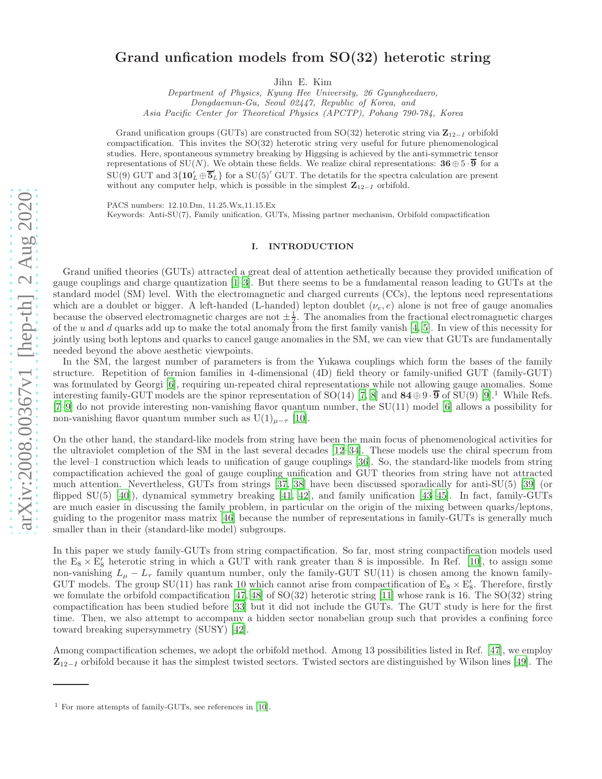# arXiv:2008.00367v1 [hep-th] 2 Aug 2020 [arXiv:2008.00367v1 \[hep-th\] 2 Aug 2020](http://arxiv.org/abs/2008.00367v1)

# Grand unfication models from SO(32) heterotic string

Jihn E. Kim

Department of Physics, Kyung Hee University, 26 Gyungheedaero, Dongdaemun-Gu, Seoul 02447, Republic of Korea, and Asia Pacific Center for Theoretical Physics (APCTP), Pohang 790-784, Korea

Grand unification groups (GUTs) are constructed from SO(32) heterotic string via  $\mathbb{Z}_{12-I}$  orbifold compactification. This invites the SO(32) heterotic string very useful for future phenomenological studies. Here, spontaneous symmetry breaking by Higgsing is achieved by the anti-symmetric tensor representations of SU(N). We obtain these fields. We realize chiral representations:  $36 \oplus 5 \cdot \overline{9}$  for a  $SU(9)$  GUT and  $3\{10'_L \oplus \overline{5}'_L\}$  for a  $SU(5)'$  GUT. The detatils for the spectra calculation are present without any computer help, which is possible in the simplest  $\mathbb{Z}_{12-I}$  orbifold.

PACS numbers: 12.10.Dm, 11.25.Wx,11.15.Ex

Keywords: Anti-SU(7), Family unification, GUTs, Missing partner mechanism, Orbifold compactification

### I. INTRODUCTION

Grand unified theories (GUTs) attracted a great deal of attention aethetically because they provided unification of gauge couplings and charge quantization [\[1](#page-14-0)[–3](#page-15-0)]. But there seems to be a fundamental reason leading to GUTs at the standard model (SM) level. With the electromagnetic and charged currents (CCs), the leptons need representations which are a doublet or bigger. A left-handed (L-handed) lepton doublet  $(\nu_e, e)$  alone is not free of gauge anomalies because the observed electromagnetic charges are not  $\pm \frac{1}{2}$ . The anomalies from the fractional electromagnetic charges of the u and d quarks add up to make the total anomaly from the first family vanish  $[4, 5]$  $[4, 5]$  $[4, 5]$ . In view of this necessity for jointly using both leptons and quarks to cancel gauge anomalies in the SM, we can view that GUTs are fundamentally needed beyond the above aesthetic viewpoints.

In the SM, the largest number of parameters is from the Yukawa couplings which form the bases of the family structure. Repetition of fermion families in 4-dimensional (4D) field theory or family-unified GUT (family-GUT) was formulated by Georgi [\[6\]](#page-15-3), requiring un-repeated chiral representations while not allowing gauge anomalies. Some interesting family-GUT models are the spinor representation of SO(14) [\[7,](#page-15-4) [8](#page-15-5)] and  $84 \oplus 9 \cdot \overline{9}$  of SU(9) [\[9\]](#page-15-6).<sup>1</sup> While Refs. [\[7](#page-15-4)[–9\]](#page-15-6) do not provide interesting non-vanishing flavor quantum number, the SU(11) model [\[6\]](#page-15-3) allows a possibility for non-vanishing flavor quantum number such as  $U(1)_{\mu-\tau}$  [\[10](#page-15-7)].

On the other hand, the standard-like models from string have been the main focus of phenomenological activities for the ultraviolet completion of the SM in the last several decades [\[12](#page-15-8)[–34](#page-16-0)]. These models use the chiral specrum from the level–1 construction which leads to unification of gauge couplings [\[36\]](#page-16-1). So, the standard-like models from string compactification achieved the goal of gauge coupling unification and GUT theories from string have not attracted much attention. Nevertheless, GUTs from strings [\[37,](#page-16-2) [38\]](#page-16-3) have been discussed sporadically for anti-SU(5) [\[39\]](#page-16-4) (or flipped  $SU(5)$  [\[40](#page-16-5)]), dynamical symmetry breaking [\[41,](#page-16-6) [42\]](#page-16-7), and family unification [\[43](#page-16-8)[–45](#page-17-0)]. In fact, family-GUTs are much easier in discussing the family problem, in particular on the origin of the mixing between quarks/leptons, guiding to the progenitor mass matrix [\[46\]](#page-17-1) because the number of representations in family-GUTs is generally much smaller than in their (standard-like model) subgroups.

In this paper we study family-GUTs from string compactification. So far, most string compactification models used the  $E_8 \times E'_8$  heterotic string in which a GUT with rank greater than 8 is impossible. In Ref. [\[10\]](#page-15-7), to assign some non-vanishing  $L_{\mu} - L_{\tau}$  family quantum number, only the family-GUT SU(11) is chosen among the known family-GUT models. The group  $SU(11)$  has rank 10 which cannot arise from compactification of  $E_8 \times E'_8$ . Therefore, firstly we fomulate the orbifold compactification [\[47,](#page-17-2) [48\]](#page-17-3) of SO(32) heterotic string [\[11\]](#page-15-9) whose rank is 16. The SO(32) string compactification has been studied before [\[33\]](#page-16-9) but it did not include the GUTs. The GUT study is here for the first time. Then, we also attempt to accompany a hidden sector nonabelian group such that provides a confining force toward breaking supersymmetry (SUSY) [\[42\]](#page-16-7).

Among compactification schemes, we adopt the orbifold method. Among 13 possibilities listed in Ref. [\[47\]](#page-17-2), we employ  $\mathbb{Z}_{12-I}$  orbifold because it has the simplest twisted sectors. Twisted sectors are distinguished by Wilson lines [\[49](#page-17-4)]. The

<sup>1</sup> For more attempts of family-GUTs, see references in [\[10](#page-15-7)].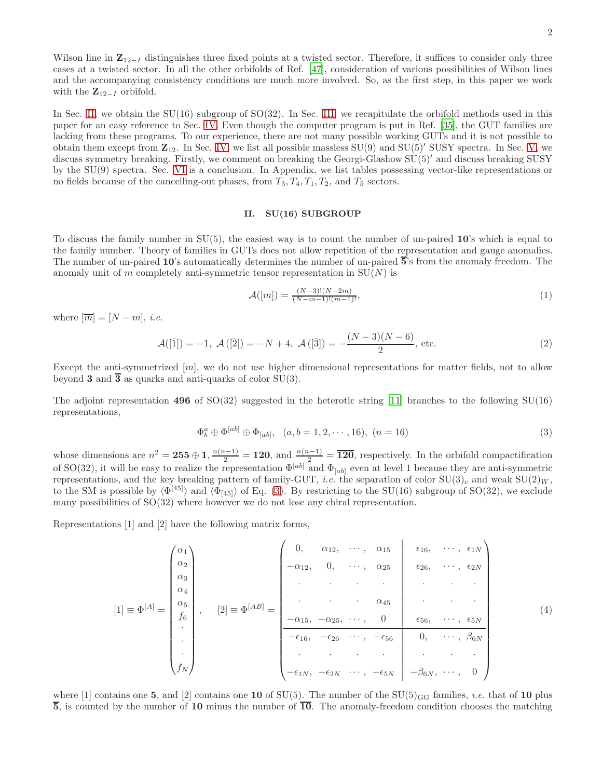Wilson line in  $\mathbb{Z}_{12-I}$  distinguishes three fixed points at a twisted sector. Therefore, it suffices to consider only three cases at a twisted sector. In all the other orbifolds of Ref. [\[47](#page-17-2)], consideration of various possibilities of Wilson lines and the accompanying consistency conditions are much more involved. So, as the first step, in this paper we work with the  $\mathbf{Z}_{12-I}$  orbifold.

In Sec. [II,](#page-1-0) we obtain the  $SU(16)$  subgroup of  $SO(32)$ . In Sec. [III,](#page-2-0) we recapitulate the orbifold methods used in this paper for an easy reference to Sec. [IV.](#page-6-0) Even though the computer program is put in Ref. [\[35\]](#page-16-10), the GUT families are lacking from these programs. To our experience, there are not many possible working GUTs and it is not possible to obtain them except from  $\mathbb{Z}_{12}$ . In Sec. [IV,](#page-6-0) we list all possible massless  $SU(9)$  and  $SU(5)'$  SUSY spectra. In Sec. [V,](#page-13-0) we discuss symmetry breaking. Firstly, we comment on breaking the Georgi-Glashow SU(5)′ and discuss breaking SUSY by the SU(9) spectra. Sec. [VI](#page-14-1) is a conclusion. In Appendix, we list tables possessing vector-like representations or no fields because of the cancelling-out phases, from  $T_3, T_4, T_1, T_2$ , and  $T_5$  sectors.

### <span id="page-1-0"></span>II. SU(16) SUBGROUP

To discuss the family number in  $SU(5)$ , the easiest way is to count the number of un-paired  $10$ 's which is equal to the family number. Theory of families in GUTs does not allow repetition of the representation and gauge anomalies. The number of un-paired 10's automatically determines the number of un-paired 5's from the anomaly freedom. The anomaly unit of m completely anti-symmetric tensor representation in  $SU(N)$  is

$$
\mathcal{A}([m]) = \frac{(N-3)!(N-2m)}{(N-m-1)!(m-1)!},\tag{1}
$$

where  $[\overline{m}] = [N - m], i.e.$ 

$$
\mathcal{A}([\bar{1}]) = -1, \ \mathcal{A}([\bar{2}]) = -N + 4, \ \mathcal{A}([\bar{3}]) = -\frac{(N-3)(N-6)}{2}, \text{ etc.}
$$
 (2)

Except the anti-symmetrized  $[m]$ , we do not use higher dimensional representations for matter fields, not to allow beyond 3 and  $\overline{3}$  as quarks and anti-quarks of color SU(3).

The adjoint representation 496 of  $SO(32)$  suggested in the heterotic string [\[11](#page-15-9)] branches to the following  $SU(16)$ representations,

<span id="page-1-1"></span>
$$
\Phi_b^a \oplus \Phi^{[ab]} \oplus \Phi_{[ab]}, \quad (a, b = 1, 2, \cdots, 16), \ (n = 16)
$$
\n(3)

whose dimensions are  $n^2 = 255 \oplus 1$ ,  $\frac{n(n-1)}{2} = 120$ , and  $\frac{n(n-1)}{2} = \overline{120}$ , respectively. In the orbifold compactification of SO(32), it will be easy to realize the representation  $\Phi^{[ab]}$  and  $\Phi_{[ab]}$  even at level 1 because they are anti-symmetric representations, and the key breaking pattern of family-GUT, *i.e.* the separation of color  $SU(3)_c$  and weak  $SU(2)_W$ , to the SM is possible by  $\langle \Phi^{[45]} \rangle$  and  $\langle \Phi_{[45]} \rangle$  of Eq. [\(3\)](#page-1-1). By restricting to the SU(16) subgroup of SO(32), we exclude many possibilities of SO(32) where however we do not lose any chiral representation.

Representations [1] and [2] have the following matrix forms,

$$
[1] = \Phi^{[A]} = \begin{pmatrix} \alpha_1 \\ \alpha_2 \\ \alpha_3 \\ \alpha_4 \\ \beta_6 \\ \vdots \\ \beta_N \end{pmatrix}, \quad [2] = \Phi^{[AB]} = \begin{pmatrix} 0, & \alpha_{12}, & \cdots, & \alpha_{15} & \epsilon_{16}, & \cdots, & \epsilon_{1N} \\ -\alpha_{12}, & 0, & \cdots, & \alpha_{25} & \epsilon_{26}, & \cdots, & \epsilon_{2N} \\ \vdots & \vdots & \ddots & \vdots & \vdots & \vdots \\ -\alpha_{15}, & -\alpha_{25}, & \cdots, & 0 & \epsilon_{56}, & \cdots, & \epsilon_{5N} \\ \hline -\epsilon_{16}, & -\epsilon_{26} & \cdots, & -\epsilon_{56} & 0, & \cdots, & \beta_{6N} \\ \vdots & \vdots & \vdots & \ddots & \vdots & \vdots \\ -\epsilon_{1N}, & -\epsilon_{2N} & \cdots, & -\epsilon_{5N} & -\beta_{6N}, & \cdots, & 0 \end{pmatrix}
$$
(4)

where [1] contains one 5, and [2] contains one 10 of SU(5). The number of the SU(5)<sub>GG</sub> families, *i.e.* that of 10 plus  $\overline{5}$ , is counted by the number of 10 minus the number of  $\overline{10}$ . The anomaly-freedom condition chooses the matching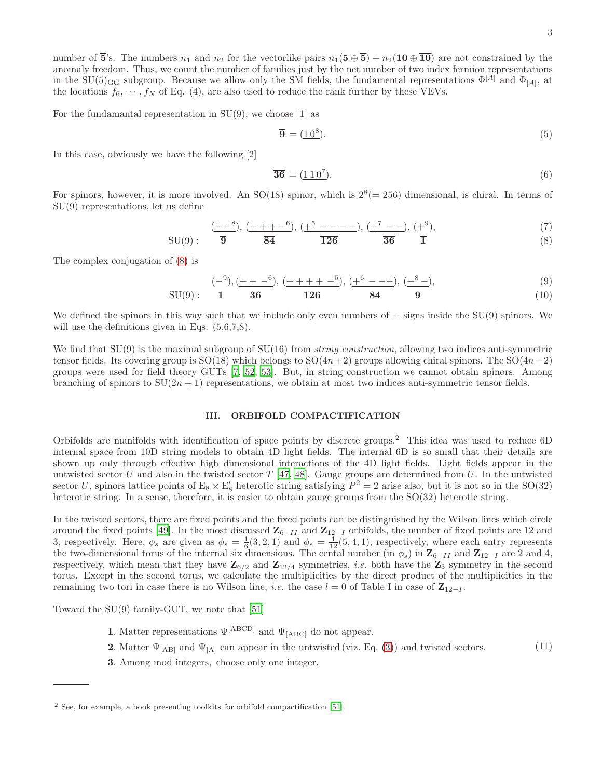number of  $\overline{5}$ 's. The numbers  $n_1$  and  $n_2$  for the vectorlike pairs  $n_1(5 \oplus \overline{5}) + n_2(10 \oplus \overline{10})$  are not constrained by the anomaly freedom. Thus, we count the number of families just by the net number of two index fermion representations in the SU(5)<sub>GG</sub> subgroup. Because we allow only the SM fields, the fundamental representations  $\Phi^{[A]}$  and  $\Phi_{[A]}$ , at the locations  $f_6, \dots, f_N$  of Eq. (4), are also used to reduce the rank further by these VEVs.

For the fundamantal representation in  $SU(9)$ , we choose [1] as

<span id="page-2-2"></span>
$$
\overline{\mathbf{9}} = (\underline{10^8}).\tag{5}
$$

In this case, obviously we have the following [2]

$$
\overline{\mathbf{36}} = (\underline{110^7}).\tag{6}
$$

For spinors, however, it is more involved. An  $SO(18)$  spinor, which is  $2^8 (= 256)$  dimensional, is chiral. In terms of SU(9) representations, let us define

<span id="page-2-1"></span>
$$
SU(9): \quad \frac{(+-8)}{9}, \frac{(+++-6)}{84}, \frac{(+5---)}{126}, \frac{(+^{7}--)}{36}, \frac{(+^{9})}{1}, \tag{7}
$$

The complex conjugation of [\(8\)](#page-2-1) is

<span id="page-2-3"></span>
$$
(-9), (\underline{++} -6), (\underline{++} + + -5), (\underline{+}6 - - -), (\underline{+}8 -),
$$
\n(9)

$$
SU(9): \t1 \t36 \t126 \t84 \t9 \t(10)
$$

We defined the spinors in this way such that we include only even numbers of  $+$  signs inside the SU(9) spinors. We will use the definitions given in Eqs.  $(5.6, 7.8)$ .

We find that  $SU(9)$  is the maximal subgroup of  $SU(16)$  from *string construction*, allowing two indices anti-symmetric tensor fields. Its covering group is  $SO(18)$  which belongs to  $SO(4n+2)$  groups allowing chiral spinors. The  $SO(4n+2)$ groups were used for field theory GUTs [\[7,](#page-15-4) [52](#page-17-5), [53\]](#page-17-6). But, in string construction we cannot obtain spinors. Among branching of spinors to  $SU(2n + 1)$  representations, we obtain at most two indices anti-symmetric tensor fields.

# <span id="page-2-0"></span>III. ORBIFOLD COMPACTIFICATION

Orbifolds are manifolds with identification of space points by discrete groups.<sup>2</sup> This idea was used to reduce 6D internal space from 10D string models to obtain 4D light fields. The internal 6D is so small that their details are shown up only through effective high dimensional interactions of the 4D light fields. Light fields appear in the untwisted sector U and also in the twisted sector  $T$  [\[47](#page-17-2), [48](#page-17-3)]. Gauge groups are determined from U. In the untwisted sector U, spinors lattice points of  $E_8 \times E'_8$  heterotic string satisfying  $P^2 = 2$  arise also, but it is not so in the SO(32) heterotic string. In a sense, therefore, it is easier to obtain gauge groups from the SO(32) heterotic string.

In the twisted sectors, there are fixed points and the fixed points can be distinguished by the Wilson lines which circle around the fixed points [\[49](#page-17-4)]. In the most discussed  $\mathbb{Z}_{6-II}$  and  $\mathbb{Z}_{12-I}$  orbifolds, the number of fixed points are 12 and 3, respectively. Here,  $\phi_s$  are given as  $\phi_s = \frac{1}{6}(3, 2, 1)$  and  $\phi_s = \frac{1}{12}(5, 4, 1)$ , respectively, where each entry represents the two-dimensional torus of the internal six dimensions. The cental number (in  $\phi_s$ ) in  $\mathbb{Z}_{6-I}$  and  $\mathbb{Z}_{12-I}$  are 2 and 4, respectively, which mean that they have  $\mathbb{Z}_{6/2}$  and  $\mathbb{Z}_{12/4}$  symmetries, *i.e.* both have the  $\mathbb{Z}_3$  symmetry in the second torus. Except in the second torus, we calculate the multiplicities by the direct product of the multiplicities in the remaining two tori in case there is no Wilson line, *i.e.* the case  $l = 0$  of Table I in case of  $\mathbb{Z}_{12-l}$ .

Toward the SU(9) family-GUT, we note that [\[51](#page-17-7)]

- 1. Matter representations  $\Psi^{\text{[ABCD]}}$  and  $\Psi_{\text{[ABC]}}$  do not appear.
- 2. Matter  $\Psi_{[AB]}$  and  $\Psi_{[A]}$  can appear in the untwisted (viz. Eq. [\(3\)](#page-1-1)) and twisted sectors. (11)
- 3. Among mod integers, choose only one integer.

<sup>2</sup> See, for example, a book presenting toolkits for orbifold compactification [\[51](#page-17-7)].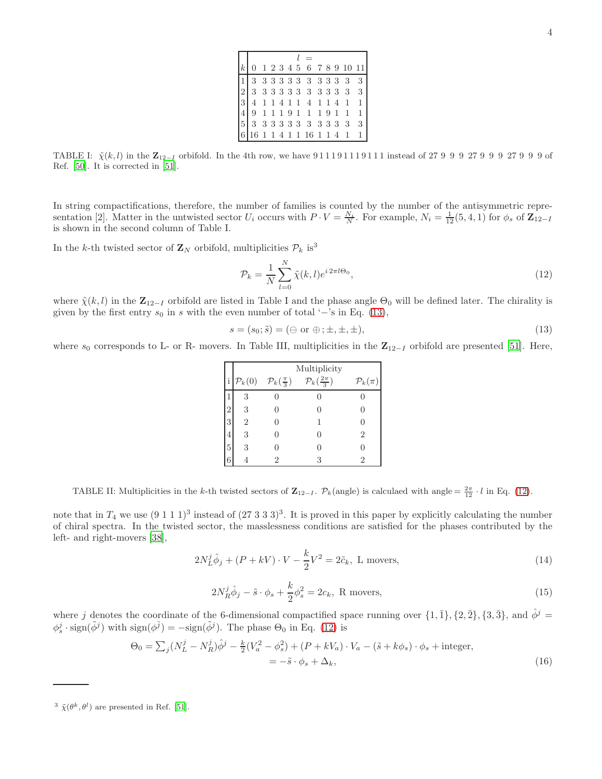|  |  |  |  |  | $0$ 1 2 3 4 5 6 7 8 9 10 11                                                       |  |
|--|--|--|--|--|-----------------------------------------------------------------------------------|--|
|  |  |  |  |  | $3333333333333$                                                                   |  |
|  |  |  |  |  | 233333333333333                                                                   |  |
|  |  |  |  |  | $4 1 1 4 1 1 4 1 1 4 1 1 1$                                                       |  |
|  |  |  |  |  | $9 1 1 1 9 1 1 1 9 1 1 1 1$                                                       |  |
|  |  |  |  |  | $\begin{bmatrix} 5 & 3 & 3 & 3 & 3 & 3 & 3 & 3 & 3 & 3 & 3 & 3 & 3 \end{bmatrix}$ |  |
|  |  |  |  |  | $16$ 1 1 4 1 1 1 6 1 1 4 1 1                                                      |  |

TABLE I:  $\tilde{\chi}(k, l)$  in the  $\mathbb{Z}_{12-I}$  orbifold. In the 4th row, we have 911191119111 instead of 27 9 9 9 9 27 9 9 9 27 9 9 9 of Ref. [\[50](#page-17-8)]. It is corrected in [\[51](#page-17-7)].

In string compactifications, therefore, the number of families is counted by the number of the antisymmetric representation [2]. Matter in the untwisted sector  $U_i$  occurs with  $P \cdot V = \frac{N_i}{N}$ . For example,  $N_i = \frac{1}{12}(5, 4, 1)$  for  $\phi_s$  of  $\mathbb{Z}_{12-I}$ is shown in the second column of Table I.

In the k-th twisted sector of  $\mathbf{Z}_N$  orbifold, multiplicities  $\mathcal{P}_k$  is<sup>3</sup>

<span id="page-3-1"></span>
$$
\mathcal{P}_k = \frac{1}{N} \sum_{l=0}^{N} \tilde{\chi}(k, l) e^{i 2\pi l \Theta_0}, \qquad (12)
$$

where  $\tilde{\chi}(k, l)$  in the  $\mathbf{Z}_{12-I}$  orbifold are listed in Table I and the phase angle  $\Theta_0$  will be defined later. The chirality is given by the first entry  $s_0$  in s with the even number of total '−'s in Eq. [\(13\)](#page-3-0),

<span id="page-3-0"></span>
$$
s = (s_0; \tilde{s}) = (\Theta \text{ or } \oplus; \pm, \pm, \pm), \tag{13}
$$

where  $s_0$  corresponds to L- or R- movers. In Table III, multiplicities in the  $\mathbb{Z}_{12-I}$  orbifold are presented [\[51\]](#page-17-7). Here,

|                |                    |                                | Multiplicity                    |                      |
|----------------|--------------------|--------------------------------|---------------------------------|----------------------|
|                | $\mathcal{P}_k(0)$ | $\mathcal{P}_k(\frac{\pi}{3})$ | $\mathcal{P}_k(\frac{2\pi}{3})$ | $\mathcal{P}_k(\pi)$ |
|                | 3                  |                                |                                 |                      |
| $\overline{2}$ | 3                  |                                |                                 |                      |
| 3              | $\overline{2}$     |                                |                                 |                      |
| $\cdot$        | 3                  |                                |                                 | 2                    |
| 5              | 3                  |                                |                                 |                      |
| 6              |                    | 2                              | 3                               | 2                    |

TABLE II: Multiplicities in the k-th twisted sectors of  $\mathbf{Z}_{12-I}$ .  $\mathcal{P}_k$ (angle) is calculaed with angle =  $\frac{2\pi}{12} \cdot l$  in Eq. [\(12\)](#page-3-1).

note that in  $T_4$  we use  $(9\ 1\ 1\ 1)^3$  instead of  $(27\ 3\ 3\ 3)^3$ . It is proved in this paper by explicitly calculating the number of chiral spectra. In the twisted sector, the masslessness conditions are satisfied for the phases contributed by the left- and right-movers [\[38\]](#page-16-3),

$$
2N_L^j \hat{\phi}_j + (P + kV) \cdot V - \frac{k}{2} V^2 = 2\tilde{c}_k, \text{ L moves},
$$
\n(14)

$$
2N_R^j \hat{\phi}_j - \tilde{s} \cdot \phi_s + \frac{k}{2} \phi_s^2 = 2c_k, \text{ R moves}, \qquad (15)
$$

where j denotes the coordinate of the 6-dimensional compactified space running over  $\{1,\overline{1}\}, \{2,\overline{2}\}, \{3,\overline{3}\},$  and  $\hat{\phi}^j$  =  $\phi_s^j \cdot \text{sign}(\tilde{\phi}^j)$  with  $\text{sign}(\phi^{\bar{j}}) = -\text{sign}(\tilde{\phi}^j)$ . The phase  $\Theta_0$  in Eq. [\(12\)](#page-3-1) is

$$
\Theta_0 = \sum_j (N_L^j - N_R^j) \hat{\phi}^j - \frac{k}{2} (V_a^2 - \phi_s^2) + (P + kV_a) \cdot V_a - (\tilde{s} + k\phi_s) \cdot \phi_s + \text{integer},
$$
  
=  $-\tilde{s} \cdot \phi_s + \Delta_k,$  (16)

<sup>&</sup>lt;sup>3</sup>  $\tilde{\chi}(\theta^k, \theta^l)$  are presented in Ref. [\[51](#page-17-7)].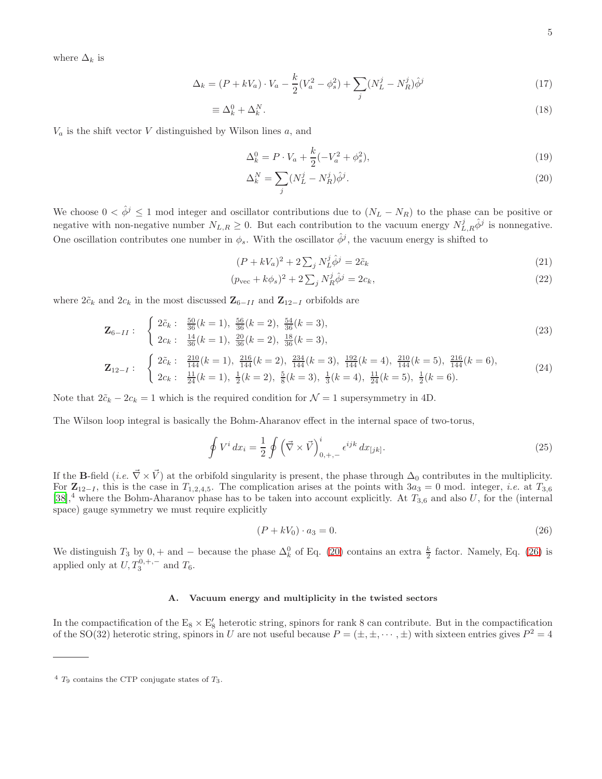where  $\Delta_k$  is

$$
\Delta_k = (P + kV_a) \cdot V_a - \frac{k}{2}(V_a^2 - \phi_s^2) + \sum_j (N_L^j - N_R^j) \hat{\phi}^j
$$
\n(17)

$$
\equiv \Delta_k^0 + \Delta_k^N. \tag{18}
$$

 $V_a$  is the shift vector V distinguished by Wilson lines a, and

<span id="page-4-0"></span>
$$
\Delta_k^0 = P \cdot V_a + \frac{k}{2} (-V_a^2 + \phi_s^2),\tag{19}
$$

$$
\Delta_k^N = \sum_j (N_L^j - N_R^j) \hat{\phi}^j. \tag{20}
$$

We choose  $0 < \hat{\phi}^j \leq 1$  mod integer and oscillator contributions due to  $(N_L - N_R)$  to the phase can be positive or negative with non-negative number  $N_{L,R} \geq 0$ . But each contribution to the vacuum energy  $N_{L,R}^j \hat{\phi}^j$  is nonnegative. One oscillation contributes one number in  $\phi_s$ . With the oscillator  $\hat{\phi}^j$ , the vacuum energy is shifted to

$$
(P + kV_a)^2 + 2\sum_j N_L^j \hat{\phi}^j = 2\tilde{c}_k \tag{21}
$$

$$
(p_{\text{vec}} + k\phi_s)^2 + 2\sum_j N_R^j \hat{\phi}^j = 2c_k,\tag{22}
$$

where  $2\tilde{c}_k$  and  $2c_k$  in the most discussed  $\mathbf{Z}_{6-I}$  and  $\mathbf{Z}_{12-I}$  orbifolds are

<span id="page-4-2"></span>
$$
\mathbf{Z}_{6-II}: \begin{cases} 2\tilde{c}_k: \frac{50}{36}(k=1), \frac{56}{36}(k=2), \frac{54}{36}(k=3),\\ 2c_k: \frac{14}{36}(k=1), \frac{20}{36}(k=2), \frac{18}{36}(k=3), \end{cases}
$$
(23)

$$
\mathbf{Z}_{12-I}: \begin{cases} 2\tilde{c}_k: \frac{210}{144}(k=1), \frac{216}{144}(k=2), \frac{234}{144}(k=3), \frac{192}{144}(k=4), \frac{210}{144}(k=5), \frac{216}{144}(k=6),\\ 2c_k: \frac{11}{24}(k=1), \frac{1}{2}(k=2), \frac{5}{8}(k=3), \frac{1}{3}(k=4), \frac{11}{24}(k=5), \frac{1}{2}(k=6). \end{cases}
$$
(24)

Note that  $2\tilde{c}_k - 2c_k = 1$  which is the required condition for  $\mathcal{N} = 1$  supersymmetry in 4D.

The Wilson loop integral is basically the Bohm-Aharanov effect in the internal space of two-torus,

$$
\oint V^i dx_i = \frac{1}{2} \oint \left( \vec{\nabla} \times \vec{V} \right)_{0,+,-}^i \epsilon^{ijk} dx_{[jk]}.
$$
\n(25)

If the B-field (*i.e.*  $\vec{\nabla} \times \vec{V}$ ) at the orbifold singularity is present, the phase through  $\Delta_0$  contributes in the multiplicity. For  $\mathbb{Z}_{12-I}$ , this is the case in  $T_{1,2,4,5}$ . The complication arises at the points with  $3a_3 = 0$  mod. integer, *i.e.* at  $T_{3,6}$ [\[38\]](#page-16-3),<sup>4</sup> where the Bohm-Aharanov phase has to be taken into account explicitly. At  $T_{3,6}$  and also U, for the (internal space) gauge symmetry we must require explicitly

<span id="page-4-1"></span>
$$
(P + kV_0) \cdot a_3 = 0. \tag{26}
$$

We distinguish  $T_3$  by  $0, +$  and  $-$  because the phase  $\Delta_k^0$  of Eq. [\(20\)](#page-4-0) contains an extra  $\frac{k}{2}$  factor. Namely, Eq. [\(26\)](#page-4-1) is applied only at  $U, T_3^{0, +, -}$  and  $T_6$ .

# A. Vacuum energy and multiplicity in the twisted sectors

In the compactification of the  $E_8 \times E'_8$  heterotic string, spinors for rank 8 can contribute. But in the compactification of the SO(32) heterotic string, spinors in U are not useful because  $P = (\pm, \pm, \cdots, \pm)$  with sixteen entries gives  $P^2 = 4$ 

 $4$  T<sub>9</sub> contains the CTP conjugate states of T<sub>3</sub>.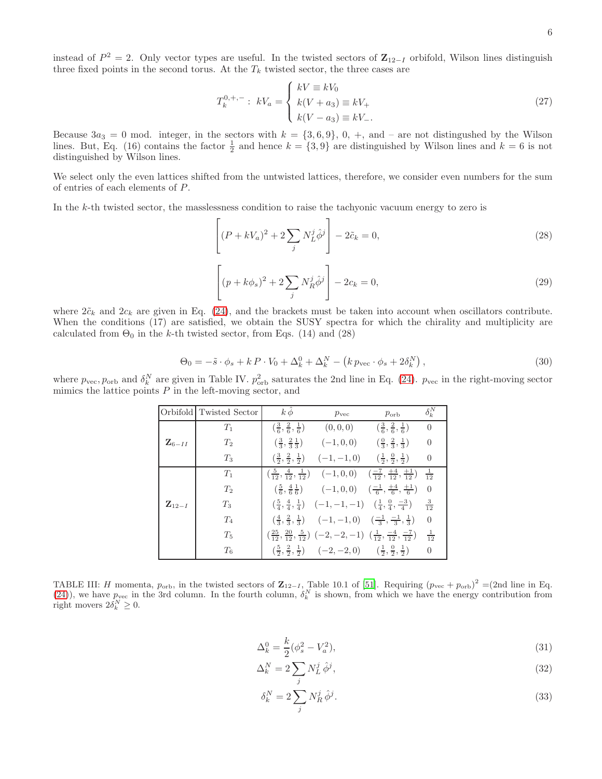instead of  $P^2 = 2$ . Only vector types are useful. In the twisted sectors of  $\mathbb{Z}_{12-I}$  orbifold, Wilson lines distinguish three fixed points in the second torus. At the  $T_k$  twisted sector, the three cases are

$$
T_k^{0, +, -}: \ kV_a = \begin{cases} kV \equiv kV_0\\ k(V + a_3) \equiv kV_+\\ k(V - a_3) \equiv kV_-.\end{cases}
$$
 (27)

Because  $3a_3 = 0$  mod. integer, in the sectors with  $k = \{3,6,9\}$ , 0, +, and - are not distingushed by the Wilson lines. But, Eq. (16) contains the factor  $\frac{1}{2}$  and hence  $k = \{3, 9\}$  are distinguished by Wilson lines and  $k = 6$  is not distinguished by Wilson lines.

We select only the even lattices shifted from the untwisted lattices, therefore, we consider even numbers for the sum of entries of each elements of P.

In the k-th twisted sector, the masslessness condition to raise the tachyonic vacuum energy to zero is

$$
\left[ (P + kV_a)^2 + 2\sum_j N_L^j \hat{\phi}^j \right] - 2\tilde{c}_k = 0,
$$
\n(28)

$$
\left[ (p + k\phi_s)^2 + 2\sum_j N_R^j \hat{\phi}^j \right] - 2c_k = 0,
$$
\n(29)

where  $2\tilde{c}_k$  and  $2c_k$  are given in Eq. [\(24\)](#page-4-2), and the brackets must be taken into account when oscillators contribute. When the conditions (17) are satisfied, we obtain the SUSY spectra for which the chirality and multiplicity are calculated from  $\Theta_0$  in the k-th twisted sector, from Eqs. (14) and (28)

$$
\Theta_0 = -\tilde{s} \cdot \phi_s + k \, P \cdot V_0 + \Delta_k^0 + \Delta_k^N - \left( k \, p_{\text{vec}} \cdot \phi_s + 2 \delta_k^N \right),\tag{30}
$$

where  $p_{\text{vec}}, p_{\text{orb}}$  and  $\delta_k^N$  are given in Table IV.  $p_{\text{orb}}^2$  saturates the 2nd line in Eq. [\(24\)](#page-4-2).  $p_{\text{vec}}$  in the right-moving sector mimics the lattice points  $P$  in the left-moving sector, and

|                     | Orbifold Twisted Sector | $k \hat{\phi}$                                       | $p_{\rm vec}$                                                                                                                                 | $p_{\rm orb}$                                                                                                                                             | $\delta_k^N$   |
|---------------------|-------------------------|------------------------------------------------------|-----------------------------------------------------------------------------------------------------------------------------------------------|-----------------------------------------------------------------------------------------------------------------------------------------------------------|----------------|
|                     | $T_1$                   | $\left(\frac{3}{6},\frac{2}{6},\frac{1}{6}\right)$   | $(0,0,0)$ $(\frac{3}{6},\frac{2}{6},\frac{1}{6})$                                                                                             |                                                                                                                                                           | $\overline{0}$ |
| $\mathbf{Z}_{6-II}$ | $T_2$                   | $\left(\frac{3}{3}, \frac{2}{3}, \frac{1}{3}\right)$ | $(-1,0,0)$ $(\frac{0}{3},\frac{2}{3},\frac{1}{3})$                                                                                            |                                                                                                                                                           | $\overline{0}$ |
|                     | $T_3$                   |                                                      | $\left(\frac{3}{2}, \frac{2}{2}, \frac{1}{2}\right)$ $\left(-1, -1, 0\right)$ $\left(\frac{1}{2}, \frac{0}{2}, \frac{1}{2}\right)$            |                                                                                                                                                           | $\overline{0}$ |
|                     | $T_1$                   |                                                      |                                                                                                                                               | $\left(\frac{5}{12}, \frac{4}{12}, \frac{1}{12}\right)$ $\left(-1, 0, 0\right)$ $\left(\frac{-7}{12}, \frac{+4}{12}, \frac{+1}{12}\right)$ $\frac{1}{12}$ |                |
|                     | $T_2$                   |                                                      | $\left(\frac{5}{6}, \frac{4}{6}, \frac{1}{6}\right)$ $\left(-1, 0, 0\right)$ $\left(\frac{-1}{6}, \frac{+4}{6}, \frac{+1}{6}\right)$          |                                                                                                                                                           | $\overline{0}$ |
| $\mathbf{Z}_{12-I}$ | $T_3$                   |                                                      |                                                                                                                                               | $\left(\frac{5}{4}, \frac{4}{4}, \frac{1}{4}\right)$ $\left(-1, -1, -1\right)$ $\left(\frac{1}{4}, \frac{0}{4}, \frac{-3}{4}\right)$                      | $\frac{3}{12}$ |
|                     | $T_4$                   |                                                      | $\left(\frac{4}{3},\frac{2}{3},\frac{1}{3}\right)$ $\left(-1,-1,0\right)$ $\left(\frac{-1}{3},\frac{-1}{3},\frac{1}{3}\right)$                |                                                                                                                                                           | $\overline{0}$ |
|                     | $T_5$                   |                                                      | $\left(\frac{25}{12}, \frac{20}{12}, \frac{5}{12}\right)$ $\left(-2, -2, -1\right)$ $\left(\frac{1}{12}, \frac{-4}{12}, \frac{-7}{12}\right)$ |                                                                                                                                                           | $\frac{1}{12}$ |
|                     | $T_6$                   |                                                      | $\left(\frac{5}{2},\frac{2}{2},\frac{1}{2}\right)$ $\left(-2,-2,0\right)$ $\left(\frac{1}{2},\frac{0}{2},\frac{1}{2}\right)$                  |                                                                                                                                                           | $\overline{0}$ |

TABLE III: H momenta,  $p_{\text{orb}}$ , in the twisted sectors of  $\mathbb{Z}_{12-I}$ , Table 10.1 of [\[51\]](#page-17-7). Requiring  $(p_{\text{vec}} + p_{\text{orb}})^2 = (2nd \text{ line in Eq.})$ [\(24\)](#page-4-2)), we have  $p_{\text{vec}}$  in the 3rd column. In the fourth column,  $\delta_k^N$  is shown, from which we have the energy contribution from right movers  $2\delta_k^N \geq 0$ .

$$
\Delta_k^0 = \frac{k}{2} (\phi_s^2 - V_a^2),\tag{31}
$$

$$
\Delta_k^N = 2 \sum_j N_L^j \hat{\phi}^j,\tag{32}
$$

$$
\delta_k^N = 2 \sum_j N_R^j \hat{\phi}^j. \tag{33}
$$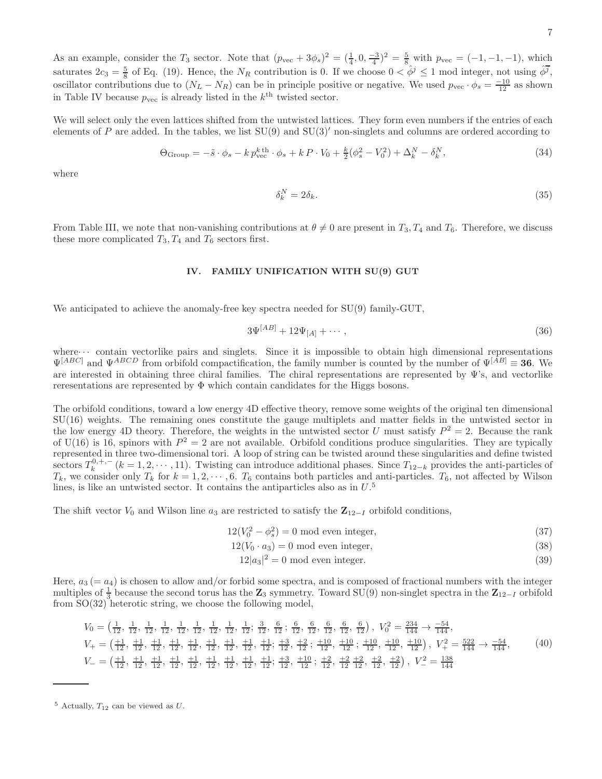As an example, consider the  $T_3$  sector. Note that  $(p_{\text{vec}} + 3\phi_s)^2 = (\frac{1}{4}, 0, \frac{-3}{4})^2 = \frac{5}{8}$  with  $p_{\text{vec}} = (-1, -1, -1)$ , which saturates  $2c_3 = \frac{5}{8}$  of Eq. (19). Hence, the  $N_R$  contribution is 0. If we choose  $0 < \hat{\phi}^j \le 1$  mod integer, not using  $\hat{\phi}^j$ , oscillator contributions due to  $(N_L - N_R)$  can be in principle positive or negative. We used  $p_{\text{vec}} \cdot \phi_s = \frac{-10}{12}$  as shown in Table IV because  $p_{\text{vec}}$  is already listed in the  $k^{\text{th}}$  twisted sector.

We will select only the even lattices shifted from the untwisted lattices. They form even numbers if the entries of each elements of P are added. In the tables, we list  $SU(9)$  and  $SU(3)'$  non-singlets and columns are ordered according to

$$
\Theta_{\text{Group}} = -\tilde{s} \cdot \phi_s - k p_{\text{vec}}^{k \text{th}} \cdot \phi_s + k P \cdot V_0 + \frac{k}{2} (\phi_s^2 - V_0^2) + \Delta_k^N - \delta_k^N, \tag{34}
$$

where

$$
\delta_k^N = 2\delta_k. \tag{35}
$$

From Table III, we note that non-vanishing contributions at  $\theta \neq 0$  are present in  $T_3, T_4$  and  $T_6$ . Therefore, we discuss these more complicated  $T_3, T_4$  and  $T_6$  sectors first.

# <span id="page-6-0"></span>IV. FAMILY UNIFICATION WITH SU(9) GUT

We anticipated to achieve the anomaly-free key spectra needed for SU(9) family-GUT,

$$
3\Psi^{[AB]} + 12\Psi_{[A]} + \cdots, \tag{36}
$$

where $\cdots$  contain vectorlike pairs and singlets. Since it is impossible to obtain high dimensional representations  $\Psi^{[ABC]}$  and  $\Psi^{ABCD}$  from orbifold compactification, the family number is counted by the number of  $\Psi^{[AB]} \equiv 36$ . We are interested in obtaining three chiral families. The chiral representations are represented by  $\Psi$ 's, and vectorlike reresentations are represented by  $\Phi$  which contain candidates for the Higgs bosons.

The orbifold conditions, toward a low energy 4D effective theory, remove some weights of the original ten dimensional SU(16) weights. The remaining ones constitute the gauge multiplets and matter fields in the untwisted sector in the low energy 4D theory. Therefore, the weights in the untwisted sector U must satisfy  $P^2 = 2$ . Because the rank of U(16) is 16, spinors with  $P^2 = 2$  are not available. Orbifold conditions produce singularities. They are typically represented in three two-dimensional tori. A loop of string can be twisted around these singularities and define twisted sectors  $T_k^{0,+,,-}$   $(k = 1, 2, \cdots, 11)$ . Twisting can introduce additional phases. Since  $T_{12-k}$  provides the anti-particles of  $T_k$ , we consider only  $T_k$  for  $k = 1, 2, \dots, 6$ .  $T_6$  contains both particles and anti-particles.  $T_6$ , not affected by Wilson lines, is like an untwisted sector. It contains the antiparticles also as in  $U$ <sup>5</sup>

The shift vector  $V_0$  and Wilson line  $a_3$  are restricted to satisfy the  $\mathbb{Z}_{12-I}$  orbifold conditions,

$$
12(V_0^2 - \phi_s^2) = 0
$$
 mod even integer, (37)

$$
12(V_0 \cdot a_3) = 0 \text{ mod even integer},\tag{38}
$$

$$
12|a_3|^2 = 0 \text{ mod even integer.}
$$
\n
$$
(39)
$$

Here,  $a_3 (= a_4)$  is chosen to allow and/or forbid some spectra, and is composed of fractional numbers with the integer multiples of  $\frac{1}{3}$  because the second torus has the Z<sub>3</sub> symmetry. Toward SU(9) non-singlet spectra in the Z<sub>12−I</sub> orbifold from SO(32) heterotic string, we choose the following model,

<span id="page-6-1"></span>
$$
V_0 = \left(\frac{1}{12}, \frac{1}{12}, \frac{1}{12}, \frac{1}{12}, \frac{1}{12}, \frac{1}{12}, \frac{1}{12}, \frac{1}{12}, \frac{1}{12}; \frac{3}{12}, \frac{6}{12}, \frac{6}{12}, \frac{6}{12}, \frac{6}{12}, \frac{6}{12}, \frac{6}{12}\right), V_0^2 = \frac{234}{144} \rightarrow \frac{-54}{144},
$$
  
\n
$$
V_+ = \left(\frac{11}{12}, \frac{11}{12}, \frac{11}{12}, \frac{11}{12}, \frac{11}{12}, \frac{11}{12}, \frac{11}{12}, \frac{11}{12}, \frac{11}{12}, \frac{11}{12}; \frac{13}{12}, \frac{12}{12}; \frac{13}{12}, \frac{12}{12}; \frac{110}{12}, \frac{110}{12}, \frac{110}{12}, \frac{110}{12}, \frac{110}{12}\right), V_+^2 = \frac{522}{144} \rightarrow \frac{-54}{144},
$$
  
\n
$$
V_- = \left(\frac{+1}{12}, \frac{11}{12}, \frac{11}{12}, \frac{11}{12}, \frac{11}{12}, \frac{11}{12}, \frac{11}{12}, \frac{11}{12}, \frac{11}{12}; \frac{13}{12}, \frac{110}{12}; \frac{12}{12}, \frac{12}{12}, \frac{12}{12}, \frac{12}{12}, \frac{12}{12}\right), V_-^2 = \frac{138}{144}
$$
 (40)

 $5$  Actually,  $T_{12}$  can be viewed as U.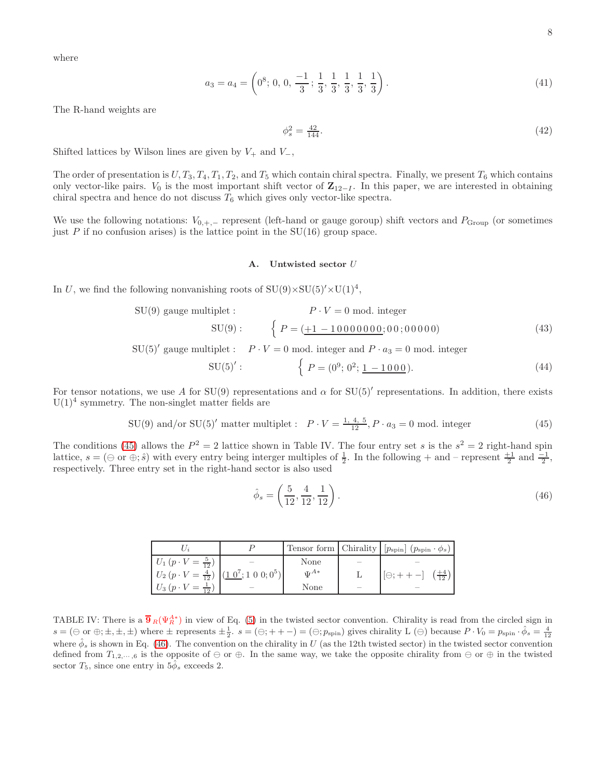where

$$
a_3 = a_4 = \left(0^8; 0, 0, \frac{-1}{3}; \frac{1}{3}, \frac{1}{3}, \frac{1}{3}, \frac{1}{3}, \frac{1}{3}\right).
$$
 (41)

The R-hand weights are

$$
\phi_s^2 = \frac{42}{144}.\tag{42}
$$

Shifted lattices by Wilson lines are given by  $V_+$  and  $V_-,$ 

The order of presentation is  $U, T_3, T_4, T_1, T_2$ , and  $T_5$  which contain chiral spectra. Finally, we present  $T_6$  which contains only vector-like pairs.  $V_0$  is the most important shift vector of  $\mathbb{Z}_{12-I}$ . In this paper, we are interested in obtaining chiral spectra and hence do not discuss  $T_6$  which gives only vector-like spectra.

We use the following notations:  $V_{0,+,-}$  represent (left-hand or gauge goroup) shift vectors and  $P_{Group}$  (or sometimes just  $P$  if no confusion arises) is the lattice point in the SU(16) group space.

### A. Untwisted sector U

In U, we find the following nonvanishing roots of  $SU(9) \times SU(5)' \times U(1)^4$ ,

$$
SU(9) \text{ gauge multiplet}: \qquad P \cdot V = 0 \text{ mod. integer}
$$

$$
SU(9): \qquad \left\{ P = (\underline{+1 - 10000000}; 00; 00000)
$$
(43)

SU(5)' gauge multiplet :  $P \cdot V = 0$  mod. integer and  $P \cdot a_3 = 0$  mod. integer

$$
SU(5)': \qquad \qquad \left\{ P = (0^9; 0^2; \underline{1 - 1000}). \right.
$$
 (44)

For tensor notations, we use A for SU(9) representations and  $\alpha$  for SU(5)' representations. In addition, there exists  $U(1)<sup>4</sup>$  symmetry. The non-singlet matter fields are

<span id="page-7-0"></span>
$$
SU(9) \text{ and/or } SU(5)' \text{ matter multiplet}: \quad P \cdot V = \frac{1, 4, 5}{12}, P \cdot a_3 = 0 \text{ mod. integer}
$$
 (45)

The conditions [\(45\)](#page-7-0) allows the  $P^2 = 2$  lattice shown in Table IV. The four entry set s is the  $s^2 = 2$  right-hand spin lattice,  $s = (\ominus \text{ or } \oplus; \hat{s})$  with every entry being interger multiples of  $\frac{1}{2}$ . In the following + and - represent  $\frac{+1}{2}$  and  $\frac{-1}{2}$ , respectively. Three entry set in the right-hand sector is also used

<span id="page-7-1"></span>
$$
\hat{\phi}_s = \left(\frac{5}{12}, \frac{4}{12}, \frac{1}{12}\right). \tag{46}
$$

|                                                                         |            | Tensor form Chirality $[p_{\rm spin}]$ $(p_{\rm spin} \cdot \phi_s)$ |
|-------------------------------------------------------------------------|------------|----------------------------------------------------------------------|
| $U_1(p \cdot V = \frac{5}{12})$                                         | None       |                                                                      |
| $U_2(p \cdot V = \frac{4}{12})  (1 \cdot 0^7; 1 \cdot 0 \cdot 0; 0^5) $ | $\Pi^{A*}$ | $[\Theta; + + -] \left(\frac{+4}{12}\right)$                         |
| $U_3(p \cdot V = \frac{1}{12})$                                         | None       |                                                                      |

TABLE IV: There is a  $\overline{\mathbf{9}}_R(\Psi_R^{A*})$  in view of Eq. [\(5\)](#page-2-2) in the twisted sector convention. Chirality is read from the circled sign in  $s = (\ominus \text{ or } \oplus; \pm, \pm, \pm)$  where  $\pm$  represents  $\pm \frac{1}{2}$ .  $s = (\ominus; + + -) = (\ominus; p_{\text{spin}})$  gives chirality L  $(\ominus)$  because  $P \cdot V_0 = p_{\text{spin}} \cdot \hat{\phi}_s = \frac{4}{12}$ where  $\hat{\phi}_s$  is shown in Eq. [\(46\)](#page-7-1). The convention on the chirality in U (as the 12th twisted sector) in the twisted sector convention defined from  $T_{1,2,\dots,6}$  is the opposite of  $\ominus$  or  $\oplus$ . In the same way, we take the opposite chirality from  $\ominus$  or  $\oplus$  in the twisted sector  $T_5$ , since one entry in  $5\phi_s$  exceeds 2.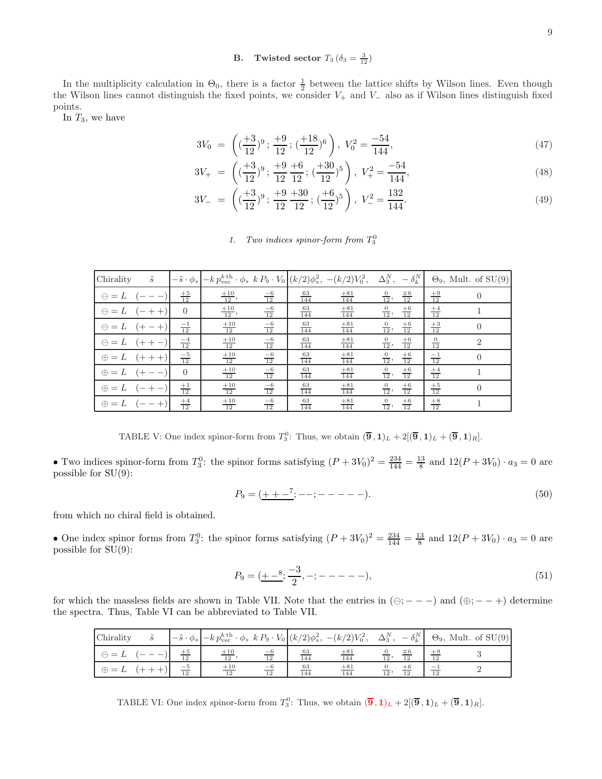# **B.** Twisted sector  $T_3(\delta_3 = \frac{3}{12})$

In the multiplicity calculation in  $\Theta_0$ , there is a factor  $\frac{1}{2}$  between the lattice shifts by Wilson lines. Even though the Wilson lines cannot distinguish the fixed points, we consider  $V_+$  and  $V_-$  also as if Wilson lines distinguish fixed points.

In  $T_3$ , we have

$$
3V_0 = \left( \left( \frac{+3}{12} \right)^9; \frac{+9}{12}; \left( \frac{+18}{12} \right)^6 \right), V_0^2 = \frac{-54}{144}, \tag{47}
$$

$$
3V_{+} = \left( \left( \frac{+3}{12} \right)^{9}; \frac{+9}{12} \frac{+6}{12}; \left( \frac{+30}{12} \right)^{5} \right), V_{+}^{2} = \frac{-54}{144}, \tag{48}
$$

$$
3V_{-} = \left( \left( \frac{+3}{12} \right)^9; \frac{+9}{12} \frac{+30}{12}; \left( \frac{+6}{12} \right)^5 \right), V_{-}^2 = \frac{132}{144}.
$$
 (49)

# 1. Two indices spinor-form from  $T_3^0$

| Chirality    | $\tilde{s}$              | $-\tilde{s}\cdot\phi_s$ | $-k p_{\text{vec}}^{k \text{ th}} \cdot \phi_s k P_9 \cdot V_0 \Big  (k/2) \phi_s^2, -(k/2) V_0^2,$ |                 |                  |                   | $\Delta^N_3,$  | $-\delta_k^N$      |                 | $\Theta_9$ , Mult. of SU(9) |
|--------------|--------------------------|-------------------------|-----------------------------------------------------------------------------------------------------|-----------------|------------------|-------------------|----------------|--------------------|-----------------|-----------------------------|
| $\Theta = L$ |                          | $rac{+5}{12}$           | $\frac{+10}{12}$ ,                                                                                  | $\frac{-6}{12}$ | $\frac{63}{144}$ | $\frac{+81}{144}$ | $\frac{0}{12}$ | $\frac{\mp 6}{12}$ | $\frac{+9}{12}$ | $\Omega$                    |
| $\Theta = L$ | $\overline{\phantom{0}}$ | $\Omega$                | $\frac{+10}{12}$ ,                                                                                  | $\frac{-6}{12}$ | $\frac{63}{144}$ | $\frac{+81}{144}$ | $\frac{0}{12}$ | $rac{+6}{12}$      | $\frac{+4}{12}$ |                             |
| $\Theta = L$ |                          | $\frac{-1}{12}$         | $\frac{+10}{12}$                                                                                    | $\frac{-6}{12}$ | $\frac{63}{144}$ | $\frac{+81}{144}$ | $\frac{0}{12}$ | $\frac{+6}{12}$    | $\frac{+3}{12}$ | $\Omega$                    |
| $\Theta = L$ | $^+$                     | $\frac{-4}{12}$         | $\frac{+10}{12}$                                                                                    | $\frac{-6}{12}$ | $\frac{63}{144}$ | $\frac{+81}{144}$ | $\frac{0}{12}$ | $\frac{+6}{12}$    | $\frac{0}{12}$  | $\mathcal{D}$               |
| $\oplus = L$ | $(+ + +)$                | $\frac{-5}{12}$         | $\frac{+10}{12}$                                                                                    | $\frac{-6}{12}$ | $\frac{63}{144}$ | $\frac{+81}{144}$ | $\frac{0}{12}$ | $\frac{+6}{12}$    | $\frac{-1}{12}$ | $\Omega$                    |
| $\oplus = L$ | $^{+}$                   | $\overline{0}$          | $\frac{+10}{12}$                                                                                    | $\frac{-6}{12}$ | $\frac{63}{144}$ | $\frac{+81}{144}$ | $\frac{0}{12}$ | $\frac{+6}{12}$    | $\frac{+4}{12}$ |                             |
| $\oplus = L$ |                          | $\frac{+1}{12}$         | $\frac{+10}{12}$                                                                                    | $\frac{-6}{12}$ | $\frac{63}{144}$ | $\frac{+81}{144}$ | $\frac{0}{12}$ | $\frac{+6}{12}$    | $\frac{+5}{12}$ | $\Omega$                    |
| $\oplus = L$ |                          | $\frac{+4}{12}$         | $\frac{+10}{12}$                                                                                    | $\frac{-6}{12}$ | $\frac{63}{144}$ | $\frac{+81}{144}$ | $\frac{0}{12}$ | $\frac{+6}{12}$    | $\frac{+8}{12}$ |                             |

TABLE V: One index spinor-form from  $T_3^0$ : Thus, we obtain  $(\overline{9},1)_L + 2[(\overline{9},1)_L + (\overline{9},1)_R]$ .

• Two indices spinor-form from  $T_3^0$ : the spinor forms satisfying  $(P+3V_0)^2 = \frac{234}{144} = \frac{13}{8}$  and  $12(P+3V_0) \cdot a_3 = 0$  are possible for SU(9):

$$
P_9 = (\underline{++-}^7; --; ----).
$$
\n(50)

from which no chiral field is obtained.

• One index spinor forms from  $T_3^0$ : the spinor forms satisfying  $(P+3V_0)^2 = \frac{234}{144} = \frac{13}{8}$  and  $12(P+3V_0) \cdot a_3 = 0$  are possible for SU(9):

$$
P_9 = (\underline{+ -8}; \frac{-3}{2}, -; - - - -), \tag{51}
$$

for which the massless fields are shown in Table VII. Note that the entries in  $(\ominus; - - -)$  and  $(\oplus; - - +)$  determine the spectra. Thus, Table VI can be abbreviated to Table VII.

| Chirality    |                 | $\left  -\tilde{s} \cdot \phi_s \right  - k p_{\text{vec}}^{k \text{ th}} \cdot \phi_s \; k P_9 \cdot V_0 \Big  (k/2) \phi_s^2, \; -(k/2) V_0^2, \; \Delta_3^N,$ |    |           |              | $-\delta_k^N$ |                 | $\Theta_9$ , Mult. of SU(9) |
|--------------|-----------------|------------------------------------------------------------------------------------------------------------------------------------------------------------------|----|-----------|--------------|---------------|-----------------|-----------------------------|
|              | $+5$<br>12      | $+10$<br>12                                                                                                                                                      | 12 | 63<br>144 | $+81$<br>144 | 12,           |                 |                             |
| $\oplus = L$ | $\frac{-5}{12}$ | $+10$<br>12                                                                                                                                                      | 12 | 63<br>144 | $+81$<br>144 | 12,<br>12     | $\overline{12}$ |                             |

TABLE VI: One index spinor-form from  $T_3^0$ : Thus, we obtain  $(\overline{9},1)_L + 2[(\overline{9},1)_L + (\overline{9},1)_R]$ .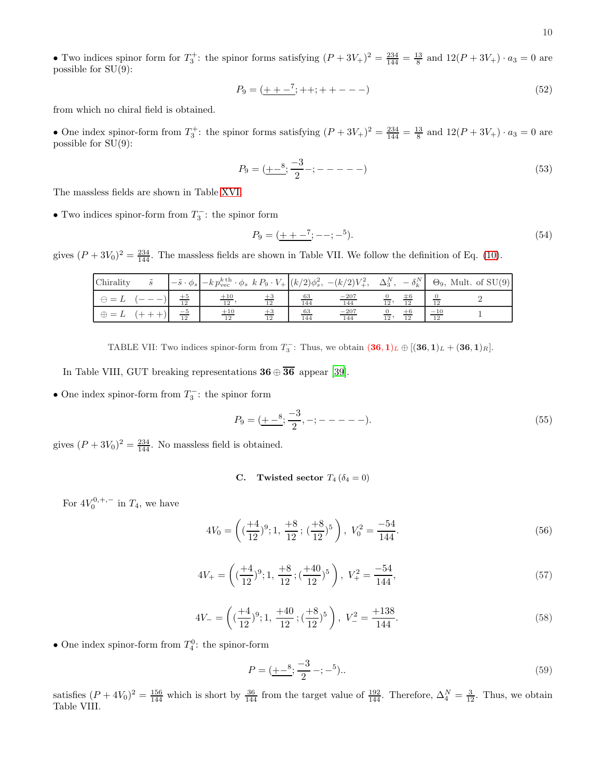• Two indices spinor form for  $T_3^+$ : the spinor forms satisfying  $(P+3V_+)^2 = \frac{234}{144} = \frac{13}{8}$  and  $12(P+3V_+) \cdot a_3 = 0$  are possible for  $SU(9)$ :

$$
P_9 = (\underline{++-}^7; + +; + + - - -)
$$
\n(52)

from which no chiral field is obtained.

• One index spinor-form from  $T_3^+$ : the spinor forms satisfying  $(P+3V_+)^2 = \frac{234}{144} = \frac{13}{8}$  and  $12(P+3V_+) \cdot a_3 = 0$  are possible for  $SU(9)$ :

$$
P_9 = (\underline{+-^8}; \frac{-3}{2} - ; - - - - -)
$$
\n(53)

The massless fields are shown in Table [XVI.](#page-18-0)

• Two indices spinor-form from  $T_3^$  $i_3^{\prime -}$ : the spinor form

P<sup>9</sup> = (+ + − 7 ; −−; − 5 ). (54)

gives  $(P + 3V_0)^2 = \frac{234}{144}$ . The massless fields are shown in Table VII. We follow the definition of Eq. [\(10\)](#page-2-3).

| Chirality    |                 | $\left  -\tilde{s} \cdot \phi_s \right  - k p_{\text{vec}}^{k \text{th}} \cdot \phi_s k P_9 \cdot V_+ \left  (k/2) \phi_s^2, -(k/2) V_+^2, \Delta_3^N, -\delta_k^N \right $ |                  |               |     |                 |                          | $\Theta_9$ , Mult. of SU(9) |
|--------------|-----------------|-----------------------------------------------------------------------------------------------------------------------------------------------------------------------------|------------------|---------------|-----|-----------------|--------------------------|-----------------------------|
| $\Theta$     | $\frac{+5}{12}$ | $+10$<br>$\overline{12}$                                                                                                                                                    | 63<br>144        | $-207$<br>144 | 12, | $\overline{12}$ |                          |                             |
| $\oplus = L$ | $\frac{-5}{12}$ | $+10$<br>12                                                                                                                                                                 | $\frac{63}{144}$ | $-207$<br>144 | 12, | 12              | $-10$<br>$\overline{12}$ |                             |

TABLE VII: Two indices spinor-form from  $T_3^-$ : Thus, we obtain  $(36,1)_L \oplus [(36,1)_L + (36,1)_R]$ .

In Table VIII, GUT breaking representations  $36 \oplus \overline{36}$  appear [\[39](#page-16-4)].

• One index spinor-form from  $T_3^ \frac{1}{3}$ : the spinor form

$$
P_9 = (\underline{+ -8}; \frac{-3}{2}, -; - - - - -).
$$
\n(55)

gives  $(P + 3V_0)^2 = \frac{234}{144}$ . No massless field is obtained.

C. Twisted sector  $T_4$  ( $\delta_4 = 0$ )

For  $4V_0^{0,+,-}$  in  $T_4$ , we have

$$
4V_0 = \left( \left( \frac{+4}{12} \right)^9; 1, \frac{+8}{12}; \left( \frac{+8}{12} \right)^5 \right), \ V_0^2 = \frac{-54}{144}.
$$
 (56)

$$
4V_{+} = \left( \left( \frac{+4}{12} \right)^9; 1, \frac{+8}{12}; \left( \frac{+40}{12} \right)^5 \right), V_{+}^2 = \frac{-54}{144}, \tag{57}
$$

$$
4V_{-} = \left( \left( \frac{+4}{12} \right)^9; 1, \frac{+40}{12}; \left( \frac{+8}{12} \right)^5 \right), \ V_{-}^2 = \frac{+138}{144}.
$$
 (58)

• One index spinor-form from  $T_4^0$ : the spinor-form

$$
P = (\underline{+ -^8}; \frac{-3}{2} - ; -^5). \tag{59}
$$

satisfies  $(P + 4V_0)^2 = \frac{156}{144}$  which is short by  $\frac{36}{144}$  from the target value of  $\frac{192}{144}$ . Therefore,  $\Delta_4^N = \frac{3}{12}$ . Thus, we obtain Table VIII.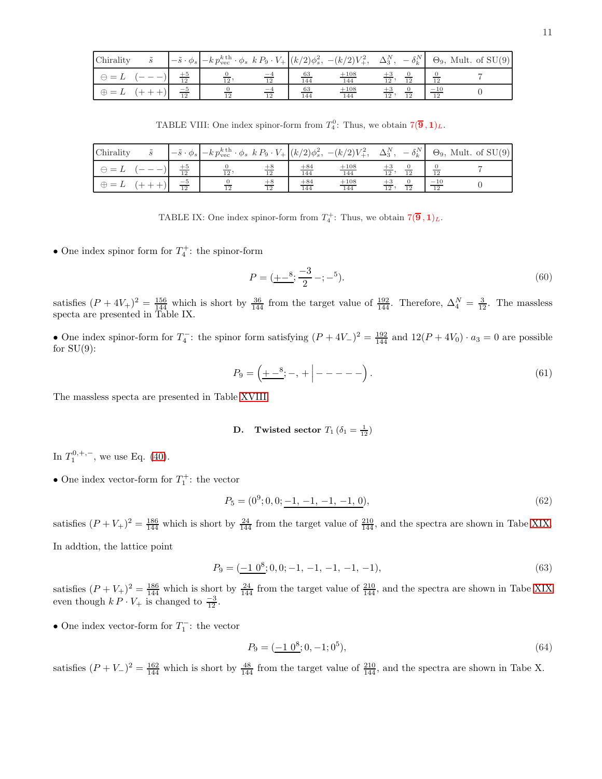| Chirality    |                 |                 |            |                  |                    |                   |                 | $\left -\tilde{s}\cdot\phi_s\right  - k p_{\text{vec}}^{k\text{th}}\cdot\phi_s k P_9 \cdot V_+\left  (k/2)\phi_s^2, -(k/2)V_+^2, \Delta_3^N, -\delta_k^N \right  \Theta_9, \text{Mult. of SU(9)}$ |
|--------------|-----------------|-----------------|------------|------------------|--------------------|-------------------|-----------------|---------------------------------------------------------------------------------------------------------------------------------------------------------------------------------------------------|
| $\Theta = L$ |                 | $\overline{12}$ |            | $\frac{63}{144}$ | $\frac{+108}{144}$ | $\overline{12}$ . |                 |                                                                                                                                                                                                   |
| $\oplus = L$ | $\frac{-5}{12}$ | $\overline{12}$ | $-4$<br>12 | $\frac{63}{144}$ | $+108$<br>144      | 12,               | $\overline{10}$ |                                                                                                                                                                                                   |

TABLE VIII: One index spinor-form from  $T_4^0$ : Thus, we obtain  $7(\overline{9}, 1)_L$ .

| Chirality    |                 | $\left  -\tilde{s} \cdot \phi_s \right  - k p_{\text{vec}}^{k \text{th}} \cdot \phi_s \ k P_9 \cdot V_+ \left  (k/2) \phi_s^2, -(k/2) V_+^2, \ \Delta_3^N, -\delta_k^N \right $ |    |                   |               |     |    |                          | $\Theta_9$ , Mult. of SU(9) |
|--------------|-----------------|---------------------------------------------------------------------------------------------------------------------------------------------------------------------------------|----|-------------------|---------------|-----|----|--------------------------|-----------------------------|
| $\Theta =$   | $+5$<br>12      | $\overline{12}$                                                                                                                                                                 |    | $+84$<br>144      | $+108$<br>144 | 12, |    | $\overline{12}$          |                             |
| $\oplus = L$ | $\frac{-5}{12}$ | $\overline{12}$                                                                                                                                                                 | 12 | $\frac{+84}{144}$ | $+108$<br>144 | 12, | 12 | $-10$<br>$\overline{12}$ |                             |

TABLE IX: One index spinor-form from  $T_4^+$ : Thus, we obtain  $7(\overline{9}, 1)_L$ .

• One index spinor form for  $T_4^+$ : the spinor-form

$$
P = (\underline{+ -^8}; \frac{-3}{2} - ; -^5). \tag{60}
$$

satisfies  $(P+4V_+)^2 = \frac{156}{144}$  which is short by  $\frac{36}{144}$  from the target value of  $\frac{192}{144}$ . Therefore,  $\Delta_4^N = \frac{3}{12}$ . The massless specta are presented in Table IX.

• One index spinor-form for  $T_4^ \frac{d_1}{4}$ : the spinor form satisfying  $(P + 4V_{-})^2 = \frac{192}{144}$  and  $12(P + 4V_{0}) \cdot a_3 = 0$  are possible for  $SU(9)$ :

$$
P_9 = \left( \underline{+ -^8}; -, + \Big| - - - - - \right). \tag{61}
$$

The massless specta are presented in Table [XVIII.](#page-18-1)

# **D.** Twisted sector  $T_1$  ( $\delta_1 = \frac{1}{12}$ )

In  $T_1^{0,+,-}$ , we use Eq. [\(40\)](#page-6-1).

• One index vector-form for  $T_1^+$ : the vector

$$
P_5 = (0^9; 0, 0; \underline{-1, -1, -1, -1, 0}),\tag{62}
$$

satisfies  $(P+V_+)^2 = \frac{186}{144}$  which is short by  $\frac{24}{144}$  from the target value of  $\frac{210}{144}$ , and the spectra are shown in Tabe [XIX.](#page-18-2) In addtion, the lattice point

$$
P_9 = (-1 \ 0^8; 0, 0; -1, -1, -1, -1, -1), \tag{63}
$$

satisfies  $(P+V_+)^2 = \frac{186}{144}$  which is short by  $\frac{24}{144}$  from the target value of  $\frac{210}{144}$ , and the spectra are shown in Tabe [XIX](#page-18-2) even though  $k P \cdot V_+$  is changed to  $\frac{-3}{12}$ .

• One index vector-form for  $T_1^$  $i_1^{\prime -}$ : the vector

$$
P_9 = (-10^8; 0, -1; 0^5),\tag{64}
$$

satisfies  $(P+V-)^2 = \frac{162}{144}$  which is short by  $\frac{48}{144}$  from the target value of  $\frac{210}{144}$ , and the spectra are shown in Tabe X.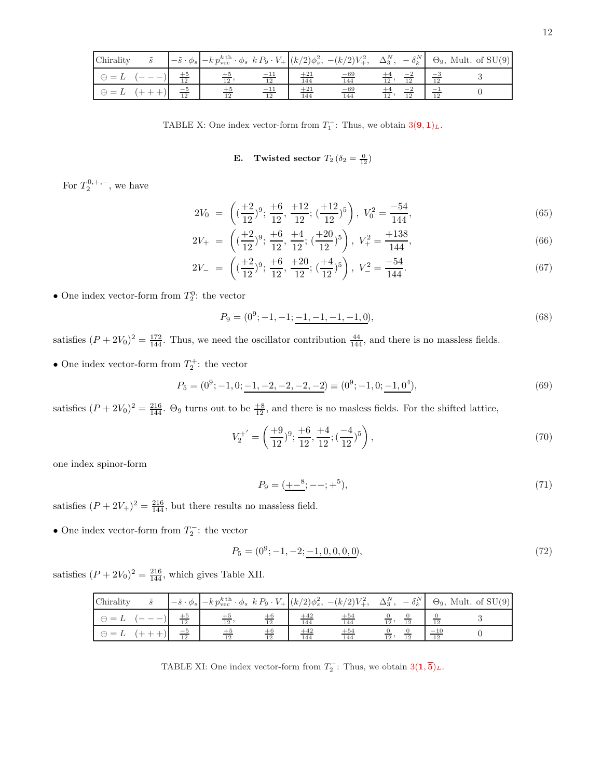| Chirality                         |                 | $\left  -\tilde{s} \cdot \phi_s \right  - k p_{\text{vec}}^{k \text{th}} \cdot \phi_s \ k P_9 \cdot V_+ \left  (k/2) \phi_s^2, -(k/2) V_+^2, \ \Delta_3^N, -\delta_k^N \right $ |    |              |              |                 |  | $\Theta_9$ , Mult. of SU(9) |
|-----------------------------------|-----------------|---------------------------------------------------------------------------------------------------------------------------------------------------------------------------------|----|--------------|--------------|-----------------|--|-----------------------------|
| $= 1$<br>$\overline{\phantom{a}}$ |                 | $\overline{12}$                                                                                                                                                                 | 12 | $+21$<br>144 | $-69$<br>144 |                 |  |                             |
| $\oplus = L$                      | $\frac{-5}{12}$ |                                                                                                                                                                                 | 12 | $+21$<br>144 | $-69$<br>144 | $\overline{12}$ |  |                             |

TABLE X: One index vector-form from  $T_1^-$ : Thus, we obtain  $3(9, 1)_L$ .

# **E.** Twisted sector  $T_2(\delta_2 = \frac{0}{12})$

For  $T_2^{0, +, -}$ , we have

$$
2V_0 = \left( \left( \frac{+2}{12} \right)^9; \frac{+6}{12}, \frac{+12}{12}; \left( \frac{+12}{12} \right)^5 \right), V_0^2 = \frac{-54}{144}, \tag{65}
$$

$$
2V_{+} = \left( \left( \frac{+2}{12} \right)^{9}; \frac{+6}{12}, \frac{+4}{12}; \left( \frac{+20}{12} \right)^{5} \right), V_{+}^{2} = \frac{+138}{144}, \tag{66}
$$

$$
2V_{-} = \left( \left( \frac{+2}{12} \right)^9; \frac{+6}{12}, \frac{+20}{12}; \left( \frac{+4}{12} \right)^5 \right), \ V_{-}^2 = \frac{-54}{144}.
$$
 (67)

• One index vector-form from  $T_2^0$ : the vector

$$
P_9 = (0^9; -1, -1; \underline{-1, -1, -1, -1, 0}),
$$
\n(68)

satisfies  $(P + 2V_0)^2 = \frac{172}{144}$ . Thus, we need the oscillator contribution  $\frac{44}{144}$ , and there is no massless fields.

• One index vector-form from  $T_2^+$ : the vector

$$
P_5 = (0^9; -1, 0; \underline{-1, -2, -2, -2, -2}) \equiv (0^9; -1, 0; \underline{-1, 0^4}), \tag{69}
$$

satisfies  $(P + 2V_0)^2 = \frac{216}{144}$ .  $\Theta_9$  turns out to be  $\frac{18}{12}$ , and there is no masless fields. For the shifted lattice,

$$
V_2^{+'} = \left(\frac{+9}{12})^9; \frac{+6}{12}, \frac{+4}{12}; (\frac{-4}{12})^5\right),\tag{70}
$$

one index spinor-form

$$
P_9 = (\underline{+ -^8}; - -; +^5),\tag{71}
$$

satisfies  $(P + 2V_+)^2 = \frac{216}{144}$ , but there results no massless field.

• One index vector-form from  $T_2^$  $i_2^{\prime -}$ : the vector

$$
P_5 = (0^9; -1, -2; -1, 0, 0, 0, 0),\tag{72}
$$

satisfies  $(P + 2V_0)^2 = \frac{216}{144}$ , which gives Table XII.

| Chirality             |            | $\left  -\tilde{s} \cdot \phi_s \right  - k p_{\text{vec}}^{k \text{th}} \cdot \phi_s \ k P_9 \cdot V_+ \left  (k/2) \phi_s^2, -(k/2) V_+^2, \ \Delta_3^N, -\delta_k^N \right $ |              |              |                 |                 |                  | $\Theta_9$ , Mult. of SU(9) |
|-----------------------|------------|---------------------------------------------------------------------------------------------------------------------------------------------------------------------------------|--------------|--------------|-----------------|-----------------|------------------|-----------------------------|
| $\leftrightarrow$ $=$ | 12         | 12                                                                                                                                                                              | $+42$<br>144 | $+54$<br>144 | $\overline{12}$ |                 |                  |                             |
| $\oplus = L$          | $-5$<br>12 | $\overline{12}$                                                                                                                                                                 | $+42$<br>144 | $+54$<br>144 | $\overline{12}$ | $\overline{12}$ | $\frac{-10}{12}$ |                             |

TABLE XI: One index vector-form from  $T_2^-$ : Thus, we obtain  $3(1,\overline{5})_L$ .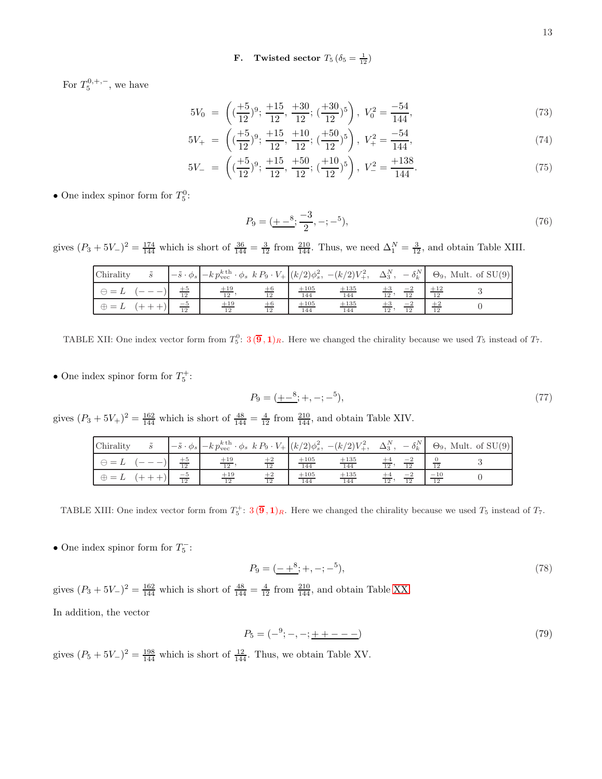**F.** Twisted sector  $T_5(\delta_5 = \frac{1}{12})$ 

For  $T_5^{0, +, -}$ , we have

$$
5V_0 = \left( \left( \frac{+5}{12} \right)^9; \frac{+15}{12}, \frac{+30}{12}; \left( \frac{+30}{12} \right)^5 \right), V_0^2 = \frac{-54}{144}, \tag{73}
$$

$$
5V_{+} = \left( \left( \frac{+5}{12} \right)^{9}; \frac{+15}{12}, \frac{+10}{12}; \left( \frac{+50}{12} \right)^{5} \right), V_{+}^{2} = \frac{-54}{144}, \tag{74}
$$

$$
5V_{-} = \left( \left( \frac{+5}{12} \right)^9; \frac{+15}{12}, \frac{+50}{12}; \left( \frac{+10}{12} \right)^5 \right), \ V_{-}^2 = \frac{+138}{144}.
$$
 (75)

• One index spinor form for  $T_5^0$ :

$$
P_9 = (\underline{+ -8}; \frac{-3}{2}, -; -5),\tag{76}
$$

gives  $(P_3 + 5V_-)^2 = \frac{174}{144}$  which is short of  $\frac{36}{144} = \frac{3}{12}$  from  $\frac{210}{144}$ . Thus, we need  $\Delta_1^N = \frac{3}{12}$ , and obtain Table XIII.

| Chirality    |                         | $\left[-\tilde{s}\cdot\phi_s\right] - k p_{\text{vec}}^{k\,\text{th}}\cdot\phi_s \; k P_9 \cdot V_+ \left[(k/2)\phi_s^2, \; -(k/2)V_+^2, \; \Delta_3^N, \right]$ |            |               |               |                 | $-\delta_k^N$ |       | $\Theta_9$ , Mult. of SU(9) |
|--------------|-------------------------|------------------------------------------------------------------------------------------------------------------------------------------------------------------|------------|---------------|---------------|-----------------|---------------|-------|-----------------------------|
| $=$          | $+5$<br>$\overline{12}$ | $+19$<br>12                                                                                                                                                      | $+6$<br>12 | $+105$<br>144 | $+135$<br>144 | $12^{\circ}$    | 12            | $+12$ |                             |
| $\oplus = L$ | $\frac{-5}{12}$         | $+19$<br>12                                                                                                                                                      | $+6$<br>12 | $+105$<br>144 | $+135$<br>144 | $\overline{12}$ | $-2$<br>12    | 12    |                             |

TABLE XII: One index vector form from  $T_5^0$ :  $3(\overline{9},1)_R$ . Here we changed the chirality because we used  $T_5$  instead of  $T_7$ .

• One index spinor form for  $T_5^+$ :

$$
P_9 = (\underline{+ -8}; +, -; -5),\tag{77}
$$

gives  $(P_3 + 5V_+)^2 = \frac{162}{144}$  which is short of  $\frac{48}{144} = \frac{4}{12}$  from  $\frac{210}{144}$ , and obtain Table XIV.

| Chirality    | $\tilde{\phantom{a}}$ |                 | $\left  -\tilde{s} \cdot \phi_s \right  - k p_{\text{vec}}^{k \text{ th}} \cdot \phi_s \ k P_9 \cdot V_+ \left  (k/2) \phi_s^2, -(k/2) V_+^2, \Delta_3^N, \right $ |            |                    |               |                 | $-\delta_k^N$ |                          | $\Theta_9$ , Mult. of SU(9) |
|--------------|-----------------------|-----------------|--------------------------------------------------------------------------------------------------------------------------------------------------------------------|------------|--------------------|---------------|-----------------|---------------|--------------------------|-----------------------------|
| $\Theta = L$ |                       | 12              | $\frac{+19}{12}$                                                                                                                                                   |            | $\frac{+105}{144}$ | $+135$<br>144 |                 |               |                          |                             |
| $\oplus =$   |                       | $\frac{-5}{12}$ | $+19$<br>12                                                                                                                                                        | $+2$<br>12 | $\frac{+105}{144}$ | $+135$<br>144 | $\overline{12}$ | 12            | $-10$<br>$\overline{12}$ |                             |

TABLE XIII: One index vector form from  $T_5^+$ :  $3(\overline{9},1)_R$ . Here we changed the chirality because we used  $T_5$  instead of  $T_7$ .

• One index spinor form for  $T_5^-$ 5 :

$$
P_9 = ( \underline{-+^8}; +, -; -^5), \tag{78}
$$

gives  $(P_3 + 5V_-)^2 = \frac{162}{144}$  which is short of  $\frac{48}{144} = \frac{4}{12}$  from  $\frac{210}{144}$ , and obtain Table [XX.](#page-18-3) In addition, the vector

$$
P_5 = (-^9; -, -; + + - - -)
$$
\n(79)

gives  $(P_5 + 5V_-)^2 = \frac{198}{144}$  which is short of  $\frac{12}{144}$ . Thus, we obtain Table XV.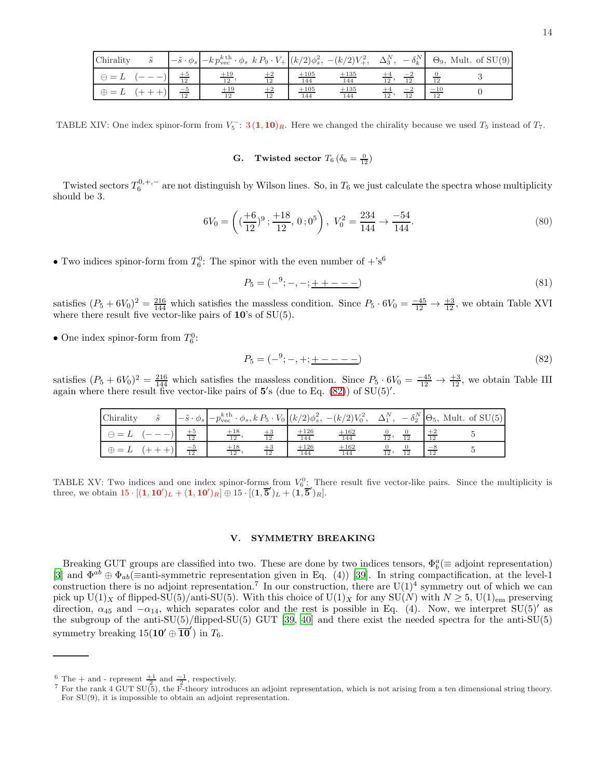| Chirality                |                 | $\left  -\tilde{s} \cdot \phi_s \right  - k p_{\text{vec}}^{k \text{ th}} \cdot \phi_s \ k P_9 \cdot V_+ \left  (k/2) \phi_s^2, -(k/2) V_+^2, \Delta_3^N, \right $ |            |                    |               |              | $-\delta_k^N$ |             | $\Theta_9$ , Mult. of SU(9) |
|--------------------------|-----------------|--------------------------------------------------------------------------------------------------------------------------------------------------------------------|------------|--------------------|---------------|--------------|---------------|-------------|-----------------------------|
| $=$<br>$\leftrightarrow$ | $\frac{+5}{12}$ | $+19$<br>$\overline{12}$                                                                                                                                           | 12         | $+105$<br>144      | $+135$<br>144 | 12           |               |             |                             |
| $\oplus = L$             | $\frac{-5}{12}$ | $+19$<br>12                                                                                                                                                        | $+2$<br>12 | $\frac{+105}{144}$ | $+135$<br>144 | $12^{\circ}$ | 12            | $-10$<br>12 |                             |

TABLE XIV: One index spinor-form from  $V_5^-$ : 3 (1, 10)<sub>R</sub>. Here we changed the chirality because we used  $T_5$  instead of  $T_7$ .

**G.** Twisted sector  $T_6$  ( $\delta_6 = \frac{0}{12}$ )

Twisted sectors  $T_6^{0, +, -}$  are not distinguish by Wilson lines. So, in  $T_6$  we just calculate the spectra whose multiplicity should be 3.

$$
6V_0 = \left( \left( \frac{+6}{12} \right)^9; \frac{+18}{12}, 0; 0^5 \right), V_0^2 = \frac{234}{144} \to \frac{-54}{144}.
$$
 (80)

• Two indices spinor-form from  $T_6^0$ : The spinor with the even number of  $+$ 's<sup>6</sup>

$$
P_5 = (-^9; -, -; \underline{++---}) \tag{81}
$$

satisfies  $(P_5 + 6V_0)^2 = \frac{216}{144}$  which satisfies the massless condition. Since  $P_5 \cdot 6V_0 = \frac{-45}{12} \rightarrow \frac{+3}{12}$ , we obtain Table XVI where there result five vector-like pairs of  $10$ 's of  $SU(5)$ .

• One index spinor-form from  $T_6^0$ :

<span id="page-13-1"></span>
$$
P_5 = (-^9; -, +; + - - - -)
$$
\n(82)

satisfies  $(P_5 + 6V_0)^2 = \frac{216}{144}$  which satisfies the massless condition. Since  $P_5 \cdot 6V_0 = \frac{-45}{12} \rightarrow \frac{+3}{12}$ , we obtain Table III again where there result five vector-like pairs of  $5'$ s (due to Eq. [\(82\)](#page-13-1)) of SU(5)'.

| Chirality     | $-\tilde{s}\cdot\phi_s$ | $\left  -p_{\text{vec}}^{k\,\text{th}} \cdot \phi_s, k\,P_5 \cdot V_0 \right  (k/2)\phi_s^2, -(k/2)V_0^2, \quad \Delta_1^N, -\delta_2^N \left  \Theta_5, \text{ Mult. of } SU(5) \right $ |    |               |               |                 |    |               |  |
|---------------|-------------------------|-------------------------------------------------------------------------------------------------------------------------------------------------------------------------------------------|----|---------------|---------------|-----------------|----|---------------|--|
| $\longmapsto$ |                         | $+18$<br>12                                                                                                                                                                               |    | $+126$<br>144 | $+162$<br>144 | $\overline{12}$ |    |               |  |
| $\oplus =$ .  | $-5$<br>12              | $+18$<br>12                                                                                                                                                                               | 12 | $+126$<br>144 | $+162$<br>144 | 12;             | 12 | $ \sim$<br>12 |  |

TABLE XV: Two indices and one index spinor-forms from  $V_6^0$ : There result five vector-like pairs. Since the multiplicity is three, we obtain  $15 \cdot [(1, 10')_L + (1, 10')_R] \oplus 15 \cdot [(1, 5')_L + (1, 5')_R]$ .

## <span id="page-13-0"></span>V. SYMMETRY BREAKING

Breaking GUT groups are classified into two. These are done by two indices tensors,  $\Phi_b^a (\equiv$  adjoint representation) [\[3\]](#page-15-0) and  $\Phi^{ab} \oplus \Phi_{ab}$  = anti-symmetric representation given in Eq. (4)) [\[39\]](#page-16-4). In string compactification, at the level-1 construction there is no adjoint representation.<sup>7</sup> In our construction, there are  $U(1)^4$  symmetry out of which we can pick up  $U(1)_X$  of flipped-SU(5)/anti-SU(5). With this choice of  $U(1)_X$  for any  $SU(N)$  with  $N \geq 5$ ,  $U(1)_{em}$  preserving direction,  $\alpha_{45}$  and  $-\alpha_{14}$ , which separates color and the rest is possible in Eq. (4). Now, we interpret SU(5)' as the subgroup of the anti-SU(5)/flipped-SU(5) GUT [\[39,](#page-16-4) [40\]](#page-16-5) and there exist the needed spectra for the anti-SU(5) symmetry breaking  $15(10' \oplus \overline{10}')$  in  $T_6$ .

 $\frac{6}{5}$  The + and - represent  $\frac{+1}{2}$  and  $\frac{-1}{2}$ , respectively.

<sup>&</sup>lt;sup>7</sup> For the rank 4 GUT SU(5), the F-theory introduces an adjoint representation, which is not arising from a ten dimensional string theory. For SU(9), it is impossible to obtain an adjoint representation.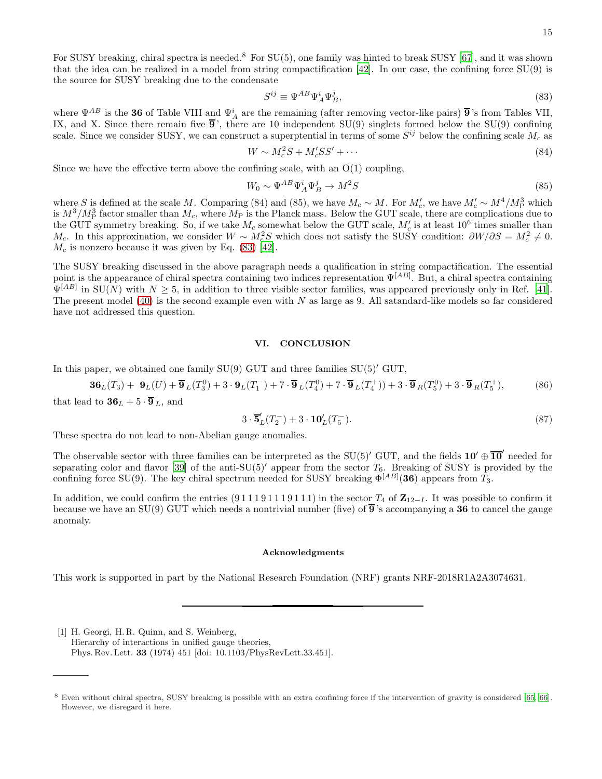For SUSY breaking, chiral spectra is needed.<sup>8</sup> For SU(5), one family was hinted to break SUSY [\[67\]](#page-18-4), and it was shown that the idea can be realized in a model from string compactification [\[42](#page-16-7)]. In our case, the confining force SU(9) is the source for SUSY breaking due to the condensate

<span id="page-14-2"></span>
$$
S^{ij} \equiv \Psi^{AB} \Psi^i_A \Psi^j_B,\tag{83}
$$

where  $\Psi^{AB}$  is the 36 of Table VIII and  $\Psi^i_A$  are the remaining (after removing vector-like pairs)  $\overline{9}$ 's from Tables VII, IX, and X. Since there remain five  $\overline{9}$ , there are 10 independent SU(9) singlets formed below the SU(9) confining scale. Since we consider SUSY, we can construct a superptential in terms of some  $S^{ij}$  below the confining scale  $M_c$  as

$$
W \sim M_c^2 S + M_c' S S' + \cdots \tag{84}
$$

Since we have the effective term above the confining scale, with an  $O(1)$  coupling,

$$
W_0 \sim \Psi^{AB} \Psi^i_A \Psi^j_B \to M^2 S \tag{85}
$$

where S is defined at the scale M. Comparing (84) and (85), we have  $M_c \sim M$ . For  $M_c'$ , we have  $M_c' \sim M^4/M_P^3$  which is  $M^3/M_P^3$  factor smaller than  $M_c$ , where  $M_P$  is the Planck mass. Below the GUT scale, there are complications due to the GUT symmetry breaking. So, if we take  $M_c$  somewhat below the GUT scale,  $M_c'$  is at least 10<sup>6</sup> times smaller than  $M_c$ . In this approxination, we consider  $W \sim M_c^2 S$  which does not satisfy the SUSY condition:  $\partial W/\partial S = M_c^2 \neq 0$ .  $M_c$  is nonzero because it was given by Eq. [\(83\)](#page-14-2) [\[42\]](#page-16-7).

The SUSY breaking discussed in the above paragraph needs a qualification in string compactification. The essential point is the appearance of chiral spectra containing two indices representation  $\Psi^{[AB]}$ . But, a chiral spectra containing  $\Psi^{[AB]}$  in SU(N) with  $N \geq 5$ , in addition to three visible sector families, was appeared previously only in Ref. [\[41\]](#page-16-6). The present model [\(40\)](#page-6-1) is the second example even with  $N$  as large as 9. All satandard-like models so far considered have not addressed this question.

### <span id="page-14-1"></span>VI. CONCLUSION

In this paper, we obtained one family  $SU(9)$  GUT and three families  $SU(5)'$  GUT,

$$
36_L(T_3) + 9_L(U) + \overline{9}_L(T_3^0) + 3 \cdot 9_L(T_1^-) + 7 \cdot \overline{9}_L(T_4^0) + 7 \cdot \overline{9}_L(T_4^+)) + 3 \cdot \overline{9}_R(T_5^0) + 3 \cdot \overline{9}_R(T_5^+),
$$
 (86)

that lead to  $36_L + 5 \cdot 9_L$ , and

$$
3 \cdot \overline{\mathbf{5}}'_{L}(T_2^-) + 3 \cdot \mathbf{10}'_{L}(T_5^-). \tag{87}
$$

These spectra do not lead to non-Abelian gauge anomalies.

The observable sector with three families can be interpreted as the SU(5)' GUT, and the fields  $10' \oplus \overline{10}'$  needed for separating color and flavor [\[39\]](#page-16-4) of the anti-SU(5)' appear from the sector  $T_6$ . Breaking of SUSY is provided by the confining force SU(9). The key chiral spectrum needed for SUSY breaking  $\Phi^{[AB]}(36)$  appears from  $T_3$ .

In addition, we could confirm the entries (9 1 1 1 9 1 1 1 9 1 1 1) in the sector  $T_4$  of  $\mathbb{Z}_{12-I}$ . It was possible to confirm it because we have an SU(9) GUT which needs a nontrivial number (five) of  $\overline{9}$ 's accompanying a 36 to cancel the gauge anomaly.

### Acknowledgments

This work is supported in part by the National Research Foundation (NRF) grants NRF-2018R1A2A3074631.

<span id="page-14-0"></span>[1] H. Georgi, H. R. Quinn, and S. Weinberg, Hierarchy of interactions in unified gauge theories, Phys. Rev. Lett. 33 (1974) 451 [doi: 10.1103/PhysRevLett.33.451].

<sup>8</sup> Even without chiral spectra, SUSY breaking is possible with an extra confining force if the intervention of gravity is considered [\[65,](#page-17-9) [66](#page-17-10)]. However, we disregard it here.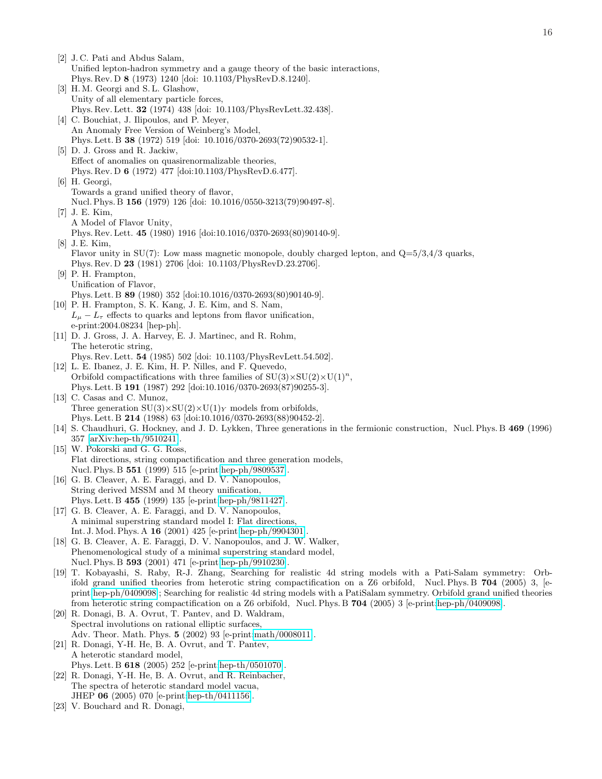<span id="page-15-9"></span><span id="page-15-8"></span><span id="page-15-7"></span><span id="page-15-6"></span><span id="page-15-5"></span><span id="page-15-4"></span><span id="page-15-3"></span><span id="page-15-2"></span><span id="page-15-1"></span><span id="page-15-0"></span>[2] J. C. Pati and Abdus Salam, Unified lepton-hadron symmetry and a gauge theory of the basic interactions, Phys. Rev. D 8 (1973) 1240 [doi: 10.1103/PhysRevD.8.1240]. [3] H.M. Georgi and S.L. Glashow, Unity of all elementary particle forces, Phys. Rev. Lett. 32 (1974) 438 [doi: 10.1103/PhysRevLett.32.438]. [4] C. Bouchiat, J. Ilipoulos, and P. Meyer, An Anomaly Free Version of Weinberg's Model, Phys. Lett. B 38 (1972) 519 [doi: 10.1016/0370-2693(72)90532-1]. [5] D. J. Gross and R. Jackiw, Effect of anomalies on quasirenormalizable theories, Phys. Rev. D 6 (1972) 477 [doi:10.1103/PhysRevD.6.477]. [6] H. Georgi, Towards a grand unified theory of flavor, Nucl. Phys. B 156 (1979) 126 [doi: 10.1016/0550-3213(79)90497-8]. [7] J. E. Kim, A Model of Flavor Unity, Phys. Rev. Lett. 45 (1980) 1916 [doi:10.1016/0370-2693(80)90140-9]. [8] J. E. Kim, Flavor unity in SU(7): Low mass magnetic monopole, doubly charged lepton, and  $Q=5/3,4/3$  quarks, Phys. Rev. D 23 (1981) 2706 [doi: 10.1103/PhysRevD.23.2706]. [9] P. H. Frampton, Unification of Flavor, Phys. Lett. B 89 (1980) 352 [doi:10.1016/0370-2693(80)90140-9]. [10] P. H. Frampton, S. K. Kang, J. E. Kim, and S. Nam,  $L_{\mu} - L_{\tau}$  effects to quarks and leptons from flavor unification, e-print:2004.08234 [hep-ph]. [11] D. J. Gross, J. A. Harvey, E. J. Martinec, and R. Rohm, The heterotic string, Phys. Rev. Lett. 54 (1985) 502 [doi: 10.1103/PhysRevLett.54.502]. [12] L. E. Ibanez, J. E. Kim, H. P. Nilles, and F. Quevedo, Orbifold compactifications with three families of  $SU(3) \times SU(2) \times U(1)^n$ , Phys. Lett. B 191 (1987) 292 [doi:10.1016/0370-2693(87)90255-3]. [13] C. Casas and C. Munoz, Three generation  $SU(3)\times SU(2)\times U(1)_Y$  models from orbifolds. Phys. Lett. B 214 (1988) 63 [doi:10.1016/0370-2693(88)90452-2]. [14] S. Chaudhuri, G. Hockney, and J. D. Lykken, Three generations in the fermionic construction, Nucl. Phys. B 469 (1996) 357 [\[arXiv:hep-th/9510241\]](http://arxiv.org/abs/hep-th/9510241). [15] W. Pokorski and G. G. Ross, Flat directions, string compactification and three generation models, Nucl. Phys. B 551 (1999) 515 [e-print[:hep-ph/9809537\]](http://arxiv.org/abs/hep-ph/9809537). [16] G. B. Cleaver, A. E. Faraggi, and D. V. Nanopoulos, String derived MSSM and M theory unification, Phys. Lett. B 455 (1999) 135 [e-print[:hep-ph/9811427\]](http://arxiv.org/abs/hep-ph/9811427). [17] G. B. Cleaver, A. E. Faraggi, and D. V. Nanopoulos, A minimal superstring standard model I: Flat directions, Int. J. Mod. Phys. A 16 (2001) 425 [e-print[:hep-ph/9904301\]](http://arxiv.org/abs/hep-ph/9904301). [18] G. B. Cleaver, A. E. Faraggi, D. V. Nanopoulos, and J. W. Walker, Phenomenological study of a minimal superstring standard model, Nucl. Phys. B 593 (2001) 471 [e-print[:hep-ph/9910230\]](http://arxiv.org/abs/hep-ph/9910230). [19] T. Kobayashi, S. Raby, R-J. Zhang, Searching for realistic 4d string models with a Pati-Salam symmetry: Orbifold grand unified theories from heterotic string compactification on a Z6 orbifold, Nucl. Phys. B 704 (2005) 3, [eprint[:hep-ph/0409098\]](http://arxiv.org/abs/hep-ph/0409098); Searching for realistic 4d string models with a PatiSalam symmetry. Orbifold grand unified theories from heterotic string compactification on a Z6 orbifold, Nucl. Phys. B 704 (2005) 3 [e-print[:hep-ph/0409098\]](http://arxiv.org/abs/hep-ph/0409098). [20] R. Donagi, B. A. Ovrut, T. Pantev, and D. Waldram, Spectral involutions on rational elliptic surfaces, Adv. Theor. Math. Phys. 5 (2002) 93 [e-print[:math/0008011\]](http://arxiv.org/abs/math/0008011). [21] R. Donagi, Y-H. He, B. A. Ovrut, and T. Pantev, A heterotic standard model, Phys. Lett. B 618 (2005) 252 [e-print[:hep-th/0501070\]](http://arxiv.org/abs/hep-th/0501070). [22] R. Donagi, Y-H. He, B. A. Ovrut, and R. Reinbacher, The spectra of heterotic standard model vacua,

- JHEP 06 (2005) 070 [e-print[:hep-th/0411156\]](http://arxiv.org/abs/hep-th/0411156).
- [23] V. Bouchard and R. Donagi,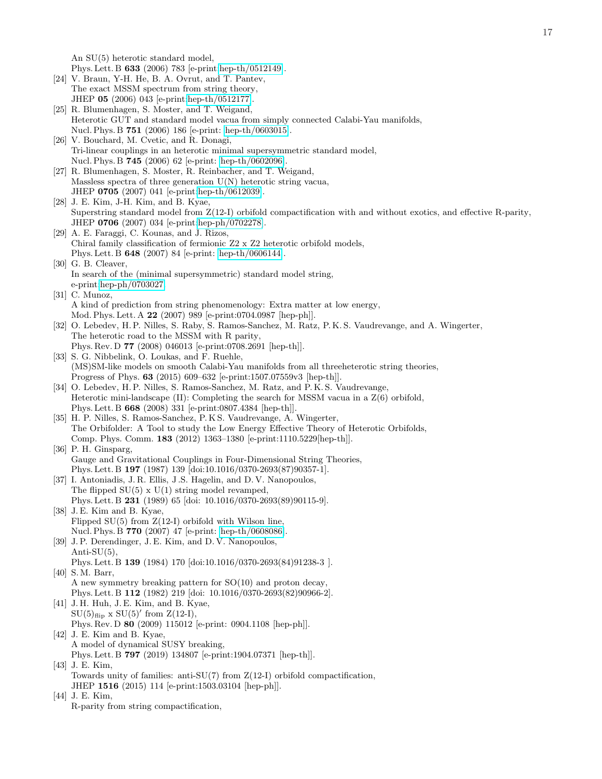An SU(5) heterotic standard model,

Phys. Lett. B 633 (2006) 783 [e-print[:hep-th/0512149\]](http://arxiv.org/abs/hep-th/0512149).

- [24] V. Braun, Y-H. He, B. A. Ovrut, and T. Pantev, The exact MSSM spectrum from string theory, JHEP 05 (2006) 043 [e-print[:hep-th/0512177\]](http://arxiv.org/abs/hep-th/0512177).
- [25] R. Blumenhagen, S. Moster, and T. Weigand, Heterotic GUT and standard model vacua from simply connected Calabi-Yau manifolds, Nucl. Phys. B 751 (2006) 186 [e-print: [hep-th/0603015\]](http://arxiv.org/abs/hep-th/0603015).
- [26] V. Bouchard, M. Cvetic, and R. Donagi, Tri-linear couplings in an heterotic minimal supersymmetric standard model, Nucl. Phys. B 745 (2006) 62 [e-print: [hep-th/0602096\]](http://arxiv.org/abs/hep-th/0602096).
- [27] R. Blumenhagen, S. Moster, R. Reinbacher, and T. Weigand, Massless spectra of three generation  $U(N)$  heterotic string vacua, JHEP 0705 (2007) 041 [e-print[:hep-th/0612039\]](http://arxiv.org/abs/hep-th/0612039).
- [28] J. E. Kim, J-H. Kim, and B. Kyae, Superstring standard model from Z(12-I) orbifold compactification with and without exotics, and effective R-parity, JHEP 0706 (2007) 034 [e-print[:hep-ph/0702278\]](http://arxiv.org/abs/hep-ph/0702278).
- [29] A. E. Faraggi, C. Kounas, and J. Rizos, Chiral family classification of fermionic Z2 x Z2 heterotic orbifold models, Phys. Lett. B 648 (2007) 84 [e-print: [hep-th/0606144\]](http://arxiv.org/abs/hep-th/0606144).
- [30] G. B. Cleaver, In search of the (minimal supersymmetric) standard model string, e-print[:hep-ph/0703027.](http://arxiv.org/abs/hep-ph/0703027)
- [31] C. Munoz, A kind of prediction from string phenomenology: Extra matter at low energy, Mod. Phys. Lett. A 22 (2007) 989 [e-print:0704.0987 [hep-ph]].
- [32] O. Lebedev, H. P. Nilles, S. Raby, S. Ramos-Sanchez, M. Ratz, P. K. S. Vaudrevange, and A. Wingerter, The heterotic road to the MSSM with R parity, Phys. Rev. D 77 (2008) 046013 [e-print:0708.2691 [hep-th]].
- <span id="page-16-9"></span>[33] S. G. Nibbelink, O. Loukas, and F. Ruehle, (MS)SM-like models on smooth Calabi-Yau manifolds from all threeheterotic string theories, Progress of Phys. 63 (2015) 609–632 [e-print:1507.07559v3 [hep-th]].
- <span id="page-16-0"></span>[34] O. Lebedev, H. P. Nilles, S. Ramos-Sanchez, M. Ratz, and P. K. S. Vaudrevange, Heterotic mini-landscape  $(II)$ : Completing the search for MSSM vacua in a  $Z(6)$  orbifold, Phys. Lett. B 668 (2008) 331 [e-print:0807.4384 [hep-th]].
- <span id="page-16-10"></span>[35] H. P. Nilles, S. Ramos-Sanchez, P. K S. Vaudrevange, A. Wingerter, The Orbifolder: A Tool to study the Low Energy Effective Theory of Heterotic Orbifolds, Comp. Phys. Comm. 183 (2012) 1363–1380 [e-print:1110.5229[hep-th]].
- <span id="page-16-1"></span>[36] P. H. Ginsparg, Gauge and Gravitational Couplings in Four-Dimensional String Theories, Phys. Lett. B 197 (1987) 139 [doi:10.1016/0370-2693(87)90357-1].
- <span id="page-16-2"></span>[37] I. Antoniadis, J. R. Ellis, J. S. Hagelin, and D. V. Nanopoulos, The flipped  $SU(5)$  x  $U(1)$  string model revamped, Phys. Lett. B 231 (1989) 65 [doi: 10.1016/0370-2693(89)90115-9].
- <span id="page-16-3"></span>[38] J. E. Kim and B. Kyae, Flipped  $SU(5)$  from  $Z(12-I)$  orbifold with Wilson line, Nucl. Phys. B 770 (2007) 47 [e-print: [hep-th/0608086\]](http://arxiv.org/abs/hep-th/0608086).
- <span id="page-16-4"></span>[39] J.P. Derendinger, J.E. Kim, and D.V. Nanopoulos, Anti-SU $(5)$ , Phys. Lett. B 139 (1984) 170 [doi:10.1016/0370-2693(84)91238-3 ]. [40] S.M. Barr,
- <span id="page-16-5"></span>A new symmetry breaking pattern for SO(10) and proton decay, Phys. Lett. B 112 (1982) 219 [doi: 10.1016/0370-2693(82)90966-2].
- <span id="page-16-6"></span>[41] J. H. Huh, J. E. Kim, and B. Kyae,  $SU(5)_{\text{flip}} \times SU(5)'$  from  $Z(12-I)$ , Phys. Rev. D 80 (2009) 115012 [e-print: 0904.1108 [hep-ph]].
- <span id="page-16-7"></span>[42] J. E. Kim and B. Kyae, A model of dynamical SUSY breaking, Phys. Lett. B 797 (2019) 134807 [e-print:1904.07371 [hep-th]].
- <span id="page-16-8"></span>[43] J. E. Kim, Towards unity of families: anti-SU(7) from  $Z(12-I)$  orbifold compactification, JHEP 1516 (2015) 114 [e-print:1503.03104 [hep-ph]].
- [44] J. E. Kim, R-parity from string compactification,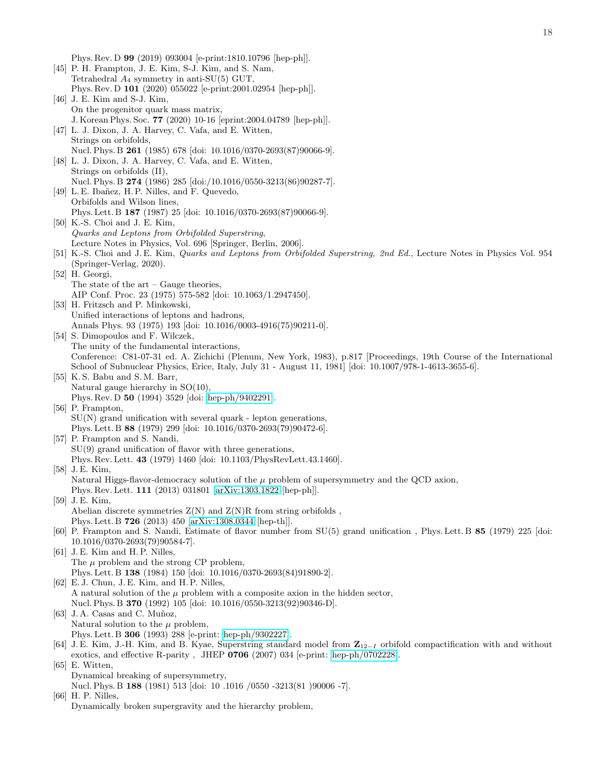Phys. Rev. D 99 (2019) 093004 [e-print:1810.10796 [hep-ph]].

- <span id="page-17-1"></span><span id="page-17-0"></span>[45] P. H. Frampton, J. E. Kim, S-J. Kim, and S. Nam, Tetrahedral  $A_4$  symmetry in anti-SU(5) GUT, Phys. Rev. D 101 (2020) 055022 [e-print:2001.02954 [hep-ph]]. [46] J. E. Kim and S-J. Kim, On the progenitor quark mass matrix, J. Korean Phys. Soc. 77 (2020) 10-16 [eprint:2004.04789 [hep-ph]].
- <span id="page-17-2"></span>[47] L. J. Dixon, J. A. Harvey, C. Vafa, and E. Witten, Strings on orbifolds, Nucl. Phys. B 261 (1985) 678 [doi: 10.1016/0370-2693(87)90066-9].
- <span id="page-17-3"></span>[48] L. J. Dixon, J. A. Harvey, C. Vafa, and E. Witten, Strings on orbifolds (II), Nucl. Phys. B 274 (1986) 285 [doi:/10.1016/0550-3213(86)90287-7]. [49] L. E. Ibañez, H. P. Nilles, and F. Quevedo,
- <span id="page-17-4"></span>Orbifolds and Wilson lines, Phys. Lett. B 187 (1987) 25 [doi: 10.1016/0370-2693(87)90066-9].
- <span id="page-17-8"></span>[50] K.-S. Choi and J. E. Kim, Quarks and Leptons from Orbifolded Superstring, Lecture Notes in Physics, Vol. 696 [Springer, Berlin, 2006].
- <span id="page-17-7"></span>[51] K.-S. Choi and J.E. Kim, *Quarks and Leptons from Orbifolded Superstring, 2nd Ed.*, Lecture Notes in Physics Vol. 954 (Springer-Verlag, 2020).
- <span id="page-17-5"></span>[52] H. Georgi, The state of the art – Gauge theories,
	- AIP Conf. Proc. 23 (1975) 575-582 [doi: 10.1063/1.2947450].
- <span id="page-17-6"></span>[53] H. Fritzsch and P. Minkowski, Unified interactions of leptons and hadrons, Annals Phys. 93 (1975) 193 [doi: 10.1016/0003-4916(75)90211-0].
- [54] S. Dimopoulos and F. Wilczek, The unity of the fundamental interactions, Conference: C81-07-31 ed. A. Zichichi (Plenum, New York, 1983), p.817 [Proceedings, 19th Course of the International School of Subnuclear Physics, Erice, Italy, July 31 - August 11, 1981] [doi: 10.1007/978-1-4613-3655-6].
- [55] K.S. Babu and S.M. Barr, Natural gauge hierarchy in SO(10), Phys. Rev. D 50 (1994) 3529 [doi: [hep-ph/9402291\]](http://arxiv.org/abs/hep-ph/9402291).
- [56] P. Frampton,  $SU(N)$  grand unification with several quark - lepton generations, Phys. Lett. B 88 (1979) 299 [doi: 10.1016/0370-2693(79)90472-6].
- [57] P. Frampton and S. Nandi, SU(9) grand unification of flavor with three generations, Phys. Rev. Lett. 43 (1979) 1460 [doi: 10.1103/PhysRevLett.43.1460]. [58] J. E. Kim,
	- Natural Higgs-flavor-democracy solution of the  $\mu$  problem of supersymmetry and the QCD axion,
	- Phys. Rev. Lett. 111 (2013) 031801 [\[arXiv:1303.1822](http://arxiv.org/abs/1303.1822) [hep-ph]].
- [59] J. E. Kim, Abelian discrete symmetries  $Z(N)$  and  $Z(N)R$  from string orbifolds, Phys. Lett. B 726 (2013) 450 [\[arXiv:1308.0344](http://arxiv.org/abs/1308.0344) [hep-th]].
- [60] P. Frampton and S. Nandi, Estimate of flavor number from SU(5) grand unification , Phys. Lett. B 85 (1979) 225 [doi: 10.1016/0370-2693(79)90584-7].
- [61] J. E. Kim and H. P. Nilles, The  $\mu$  problem and the strong CP problem, Phys. Lett. B 138 (1984) 150 [doi: 10.1016/0370-2693(84)91890-2].
- [62] E. J. Chun, J. E. Kim, and H. P. Nilles, A natural solution of the  $\mu$  problem with a composite axion in the hidden sector, Nucl. Phys. B 370 (1992) 105 [doi: 10.1016/0550-3213(92)90346-D]. [63] J.A. Casas and C. Muñoz,
- Natural solution to the  $\mu$  problem, Phys. Lett. B 306 (1993) 288 [e-print: [hep-ph/9302227\]](http://arxiv.org/abs/hep-ph/9302227).
- [64] J. E. Kim, J.-H. Kim, and B. Kyae, Superstring standard model from Z<sup>12</sup>−<sup>I</sup> orbifold compactification with and without exotics, and effective R-parity , JHEP 0706 (2007) 034 [e-print: [hep-ph/0702228\]](http://arxiv.org/abs/hep-ph/0702228).
- <span id="page-17-9"></span>[65] E. Witten, Dynamical breaking of supersymmetry,
	- Nucl. Phys. B 188 (1981) 513 [doi: 10 .1016 /0550 -3213(81 )90006 -7].
- <span id="page-17-10"></span>[66] H. P. Nilles,
- Dynamically broken supergravity and the hierarchy problem,